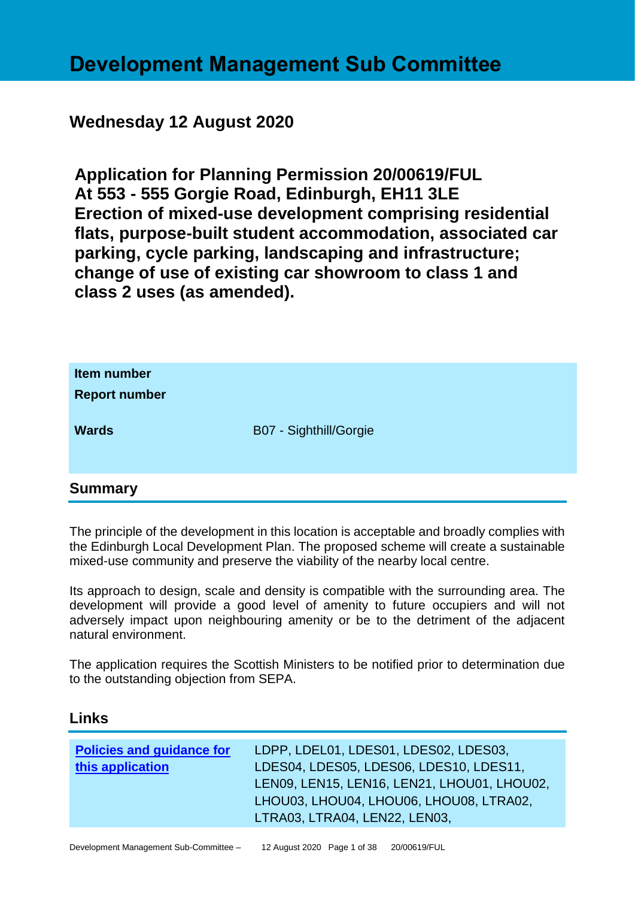# **Development Management Sub Committee**

# **Wednesday 12 August 2020**

**Application for Planning Permission 20/00619/FUL At 553 - 555 Gorgie Road, Edinburgh, EH11 3LE Erection of mixed-use development comprising residential flats, purpose-built student accommodation, associated car parking, cycle parking, landscaping and infrastructure; change of use of existing car showroom to class 1 and class 2 uses (as amended).**

| Item number<br><b>Report number</b> |                        |  |
|-------------------------------------|------------------------|--|
| <b>Wards</b>                        | B07 - Sighthill/Gorgie |  |
| <b>Summary</b>                      |                        |  |

The principle of the development in this location is acceptable and broadly complies with the Edinburgh Local Development Plan. The proposed scheme will create a sustainable mixed-use community and preserve the viability of the nearby local centre.

Its approach to design, scale and density is compatible with the surrounding area. The development will provide a good level of amenity to future occupiers and will not adversely impact upon neighbouring amenity or be to the detriment of the adjacent natural environment.

The application requires the Scottish Ministers to be notified prior to determination due to the outstanding objection from SEPA.

#### **Links**

| LEN09, LEN15, LEN16, LEN21, LHOU01, LHOU02, |
|---------------------------------------------|
|                                             |
|                                             |
| LHOU03, LHOU04, LHOU06, LHOU08, LTRA02,     |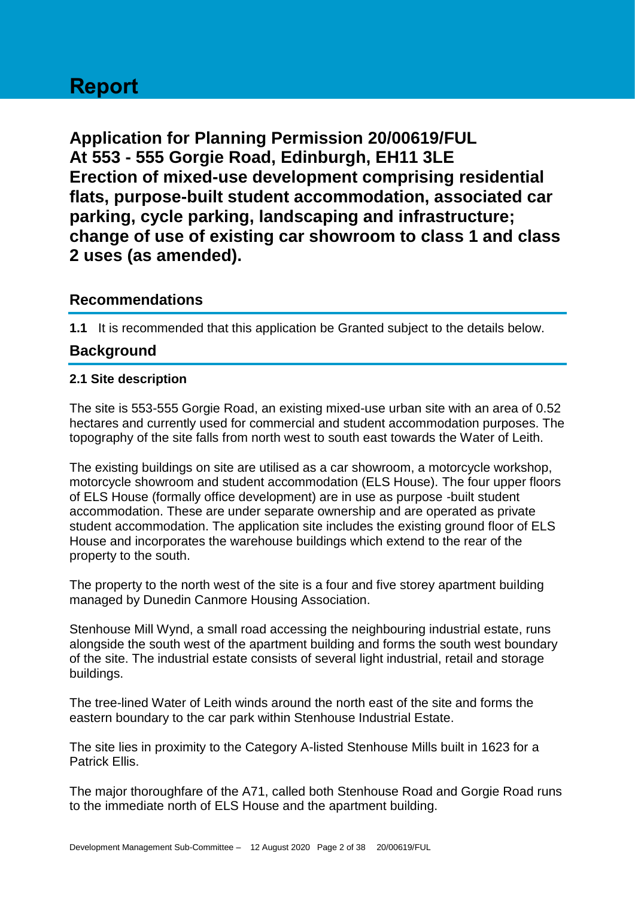# **Report**

**Application for Planning Permission 20/00619/FUL At 553 - 555 Gorgie Road, Edinburgh, EH11 3LE Erection of mixed-use development comprising residential flats, purpose-built student accommodation, associated car parking, cycle parking, landscaping and infrastructure; change of use of existing car showroom to class 1 and class 2 uses (as amended).**

## **Recommendations**

**1.1** It is recommended that this application be Granted subject to the details below.

# **Background**

#### **2.1 Site description**

The site is 553-555 Gorgie Road, an existing mixed-use urban site with an area of 0.52 hectares and currently used for commercial and student accommodation purposes. The topography of the site falls from north west to south east towards the Water of Leith.

The existing buildings on site are utilised as a car showroom, a motorcycle workshop, motorcycle showroom and student accommodation (ELS House). The four upper floors of ELS House (formally office development) are in use as purpose -built student accommodation. These are under separate ownership and are operated as private student accommodation. The application site includes the existing ground floor of ELS House and incorporates the warehouse buildings which extend to the rear of the property to the south.

The property to the north west of the site is a four and five storey apartment building managed by Dunedin Canmore Housing Association.

Stenhouse Mill Wynd, a small road accessing the neighbouring industrial estate, runs alongside the south west of the apartment building and forms the south west boundary of the site. The industrial estate consists of several light industrial, retail and storage buildings.

The tree-lined Water of Leith winds around the north east of the site and forms the eastern boundary to the car park within Stenhouse Industrial Estate.

The site lies in proximity to the Category A-listed Stenhouse Mills built in 1623 for a Patrick Ellis.

The major thoroughfare of the A71, called both Stenhouse Road and Gorgie Road runs to the immediate north of ELS House and the apartment building.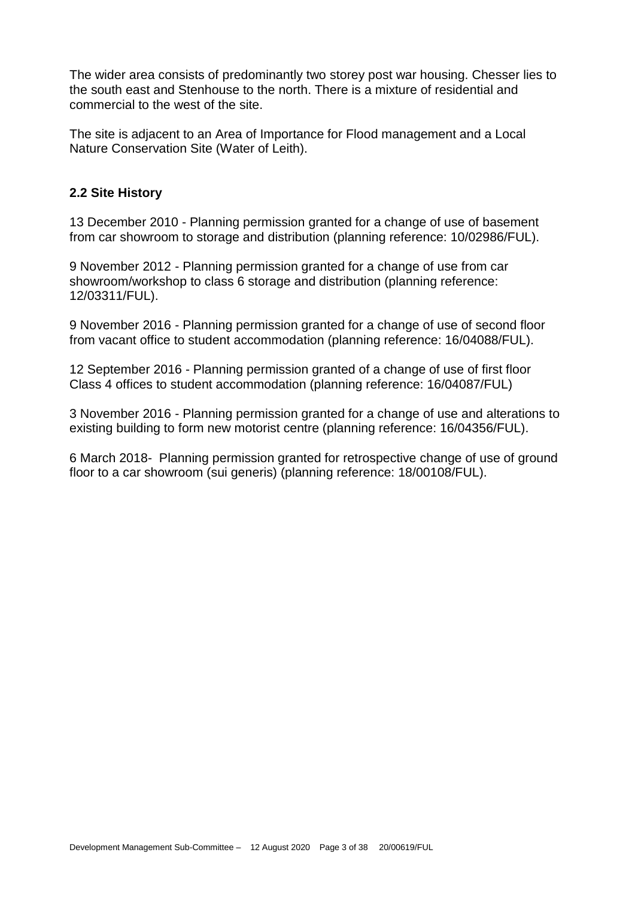The wider area consists of predominantly two storey post war housing. Chesser lies to the south east and Stenhouse to the north. There is a mixture of residential and commercial to the west of the site.

The site is adjacent to an Area of Importance for Flood management and a Local Nature Conservation Site (Water of Leith).

#### **2.2 Site History**

13 December 2010 - Planning permission granted for a change of use of basement from car showroom to storage and distribution (planning reference: 10/02986/FUL).

9 November 2012 - Planning permission granted for a change of use from car showroom/workshop to class 6 storage and distribution (planning reference: 12/03311/FUL).

9 November 2016 - Planning permission granted for a change of use of second floor from vacant office to student accommodation (planning reference: 16/04088/FUL).

12 September 2016 - Planning permission granted of a change of use of first floor Class 4 offices to student accommodation (planning reference: 16/04087/FUL)

3 November 2016 - Planning permission granted for a change of use and alterations to existing building to form new motorist centre (planning reference: 16/04356/FUL).

6 March 2018- Planning permission granted for retrospective change of use of ground floor to a car showroom (sui generis) (planning reference: 18/00108/FUL).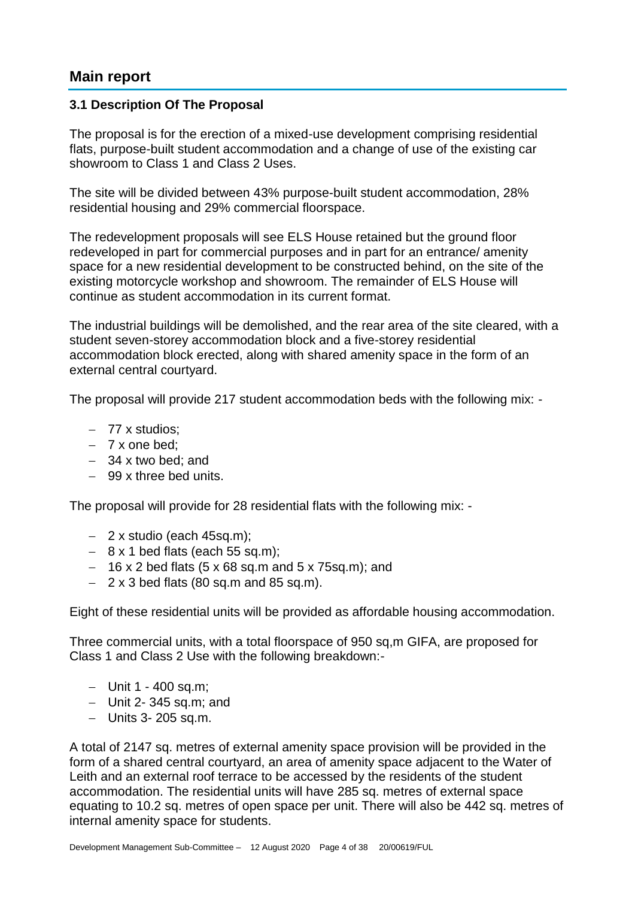## **Main report**

#### **3.1 Description Of The Proposal**

The proposal is for the erection of a mixed-use development comprising residential flats, purpose-built student accommodation and a change of use of the existing car showroom to Class 1 and Class 2 Uses.

The site will be divided between 43% purpose-built student accommodation, 28% residential housing and 29% commercial floorspace.

The redevelopment proposals will see ELS House retained but the ground floor redeveloped in part for commercial purposes and in part for an entrance/ amenity space for a new residential development to be constructed behind, on the site of the existing motorcycle workshop and showroom. The remainder of ELS House will continue as student accommodation in its current format.

The industrial buildings will be demolished, and the rear area of the site cleared, with a student seven-storey accommodation block and a five-storey residential accommodation block erected, along with shared amenity space in the form of an external central courtyard.

The proposal will provide 217 student accommodation beds with the following mix: -

- − 77 x studios;
- − 7 x one bed;
- − 34 x two bed; and
- − 99 x three bed units.

The proposal will provide for 28 residential flats with the following mix: -

- − 2 x studio (each 45sq.m);
- − 8 x 1 bed flats (each 55 sq.m);
- − 16 x 2 bed flats (5 x 68 sq.m and 5 x 75sq.m); and
- − 2 x 3 bed flats (80 sq.m and 85 sq.m).

Eight of these residential units will be provided as affordable housing accommodation.

Three commercial units, with a total floorspace of 950 sq,m GIFA, are proposed for Class 1 and Class 2 Use with the following breakdown:-

- − Unit 1 400 sq.m;
- − Unit 2- 345 sq.m; and
- − Units 3- 205 sq.m.

A total of 2147 sq. metres of external amenity space provision will be provided in the form of a shared central courtyard, an area of amenity space adjacent to the Water of Leith and an external roof terrace to be accessed by the residents of the student accommodation. The residential units will have 285 sq. metres of external space equating to 10.2 sq. metres of open space per unit. There will also be 442 sq. metres of internal amenity space for students.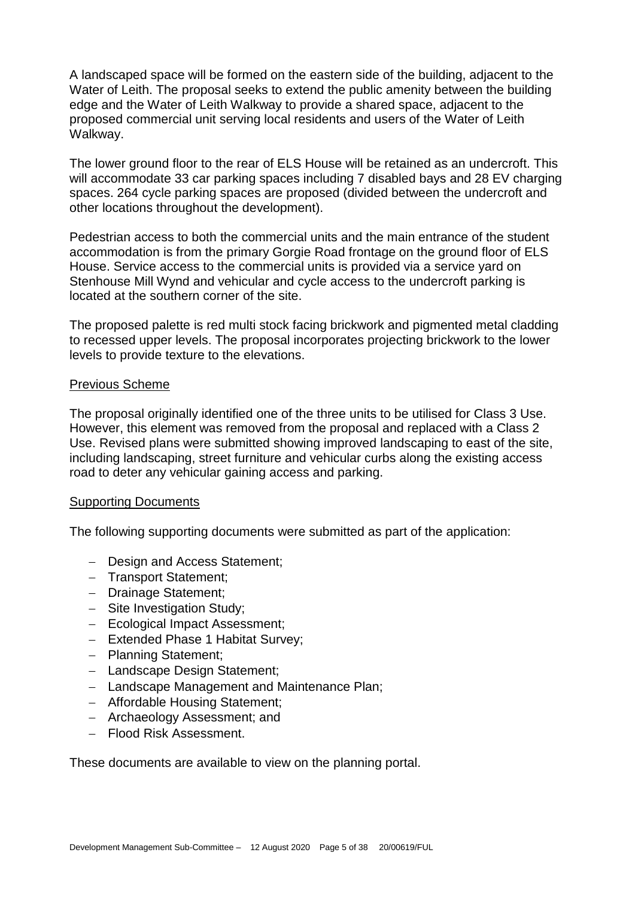A landscaped space will be formed on the eastern side of the building, adjacent to the Water of Leith. The proposal seeks to extend the public amenity between the building edge and the Water of Leith Walkway to provide a shared space, adjacent to the proposed commercial unit serving local residents and users of the Water of Leith Walkway.

The lower ground floor to the rear of ELS House will be retained as an undercroft. This will accommodate 33 car parking spaces including 7 disabled bays and 28 EV charging spaces. 264 cycle parking spaces are proposed (divided between the undercroft and other locations throughout the development).

Pedestrian access to both the commercial units and the main entrance of the student accommodation is from the primary Gorgie Road frontage on the ground floor of ELS House. Service access to the commercial units is provided via a service yard on Stenhouse Mill Wynd and vehicular and cycle access to the undercroft parking is located at the southern corner of the site.

The proposed palette is red multi stock facing brickwork and pigmented metal cladding to recessed upper levels. The proposal incorporates projecting brickwork to the lower levels to provide texture to the elevations.

#### Previous Scheme

The proposal originally identified one of the three units to be utilised for Class 3 Use. However, this element was removed from the proposal and replaced with a Class 2 Use. Revised plans were submitted showing improved landscaping to east of the site, including landscaping, street furniture and vehicular curbs along the existing access road to deter any vehicular gaining access and parking.

#### Supporting Documents

The following supporting documents were submitted as part of the application:

- − Design and Access Statement;
- − Transport Statement;
- − Drainage Statement;
- − Site Investigation Study;
- − Ecological Impact Assessment;
- − Extended Phase 1 Habitat Survey;
- − Planning Statement;
- − Landscape Design Statement;
- − Landscape Management and Maintenance Plan;
- − Affordable Housing Statement;
- − Archaeology Assessment; and
- − Flood Risk Assessment.

These documents are available to view on the planning portal.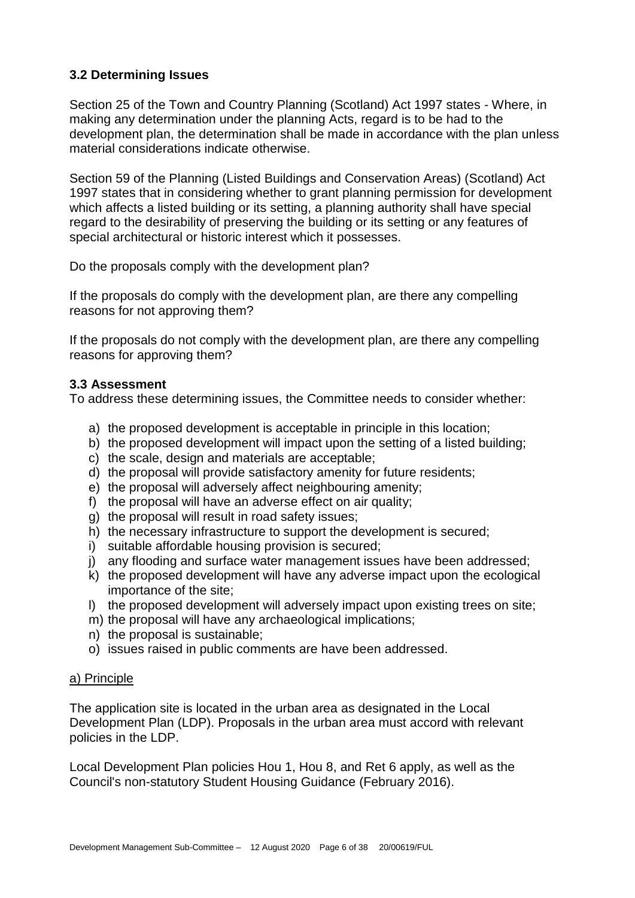## **3.2 Determining Issues**

Section 25 of the Town and Country Planning (Scotland) Act 1997 states - Where, in making any determination under the planning Acts, regard is to be had to the development plan, the determination shall be made in accordance with the plan unless material considerations indicate otherwise.

Section 59 of the Planning (Listed Buildings and Conservation Areas) (Scotland) Act 1997 states that in considering whether to grant planning permission for development which affects a listed building or its setting, a planning authority shall have special regard to the desirability of preserving the building or its setting or any features of special architectural or historic interest which it possesses.

Do the proposals comply with the development plan?

If the proposals do comply with the development plan, are there any compelling reasons for not approving them?

If the proposals do not comply with the development plan, are there any compelling reasons for approving them?

#### **3.3 Assessment**

To address these determining issues, the Committee needs to consider whether:

- a) the proposed development is acceptable in principle in this location;
- b) the proposed development will impact upon the setting of a listed building;
- c) the scale, design and materials are acceptable;
- d) the proposal will provide satisfactory amenity for future residents;
- e) the proposal will adversely affect neighbouring amenity;
- f) the proposal will have an adverse effect on air quality;
- g) the proposal will result in road safety issues;
- h) the necessary infrastructure to support the development is secured;
- i) suitable affordable housing provision is secured;
- j) any flooding and surface water management issues have been addressed;
- k) the proposed development will have any adverse impact upon the ecological importance of the site;
- l) the proposed development will adversely impact upon existing trees on site;
- m) the proposal will have any archaeological implications;
- n) the proposal is sustainable;
- o) issues raised in public comments are have been addressed.

#### a) Principle

The application site is located in the urban area as designated in the Local Development Plan (LDP). Proposals in the urban area must accord with relevant policies in the LDP.

Local Development Plan policies Hou 1, Hou 8, and Ret 6 apply, as well as the Council's non-statutory Student Housing Guidance (February 2016).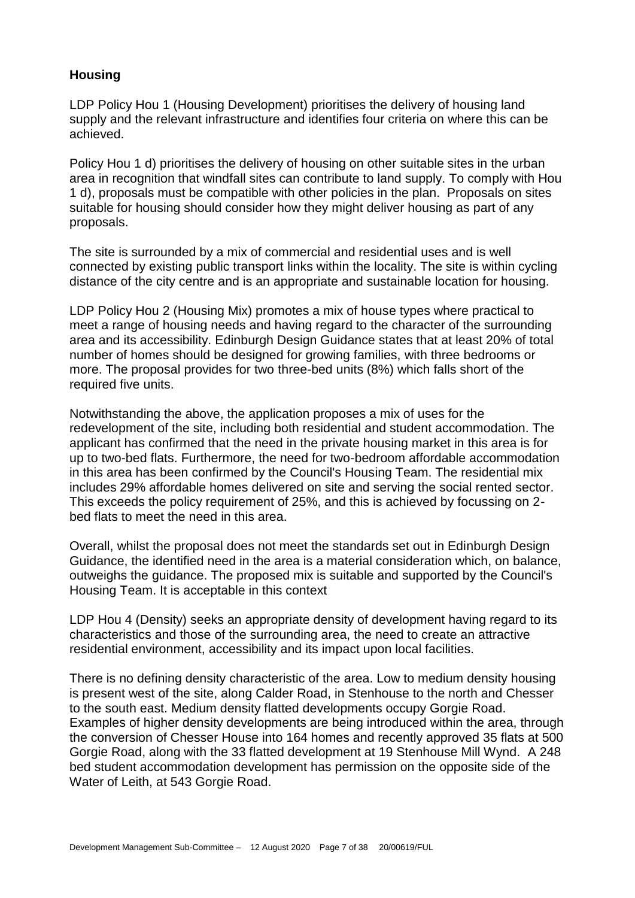## **Housing**

LDP Policy Hou 1 (Housing Development) prioritises the delivery of housing land supply and the relevant infrastructure and identifies four criteria on where this can be achieved.

Policy Hou 1 d) prioritises the delivery of housing on other suitable sites in the urban area in recognition that windfall sites can contribute to land supply. To comply with Hou 1 d), proposals must be compatible with other policies in the plan. Proposals on sites suitable for housing should consider how they might deliver housing as part of any proposals.

The site is surrounded by a mix of commercial and residential uses and is well connected by existing public transport links within the locality. The site is within cycling distance of the city centre and is an appropriate and sustainable location for housing.

LDP Policy Hou 2 (Housing Mix) promotes a mix of house types where practical to meet a range of housing needs and having regard to the character of the surrounding area and its accessibility. Edinburgh Design Guidance states that at least 20% of total number of homes should be designed for growing families, with three bedrooms or more. The proposal provides for two three-bed units (8%) which falls short of the required five units.

Notwithstanding the above, the application proposes a mix of uses for the redevelopment of the site, including both residential and student accommodation. The applicant has confirmed that the need in the private housing market in this area is for up to two-bed flats. Furthermore, the need for two-bedroom affordable accommodation in this area has been confirmed by the Council's Housing Team. The residential mix includes 29% affordable homes delivered on site and serving the social rented sector. This exceeds the policy requirement of 25%, and this is achieved by focussing on 2 bed flats to meet the need in this area.

Overall, whilst the proposal does not meet the standards set out in Edinburgh Design Guidance, the identified need in the area is a material consideration which, on balance, outweighs the guidance. The proposed mix is suitable and supported by the Council's Housing Team. It is acceptable in this context

LDP Hou 4 (Density) seeks an appropriate density of development having regard to its characteristics and those of the surrounding area, the need to create an attractive residential environment, accessibility and its impact upon local facilities.

There is no defining density characteristic of the area. Low to medium density housing is present west of the site, along Calder Road, in Stenhouse to the north and Chesser to the south east. Medium density flatted developments occupy Gorgie Road. Examples of higher density developments are being introduced within the area, through the conversion of Chesser House into 164 homes and recently approved 35 flats at 500 Gorgie Road, along with the 33 flatted development at 19 Stenhouse Mill Wynd. A 248 bed student accommodation development has permission on the opposite side of the Water of Leith, at 543 Gorgie Road.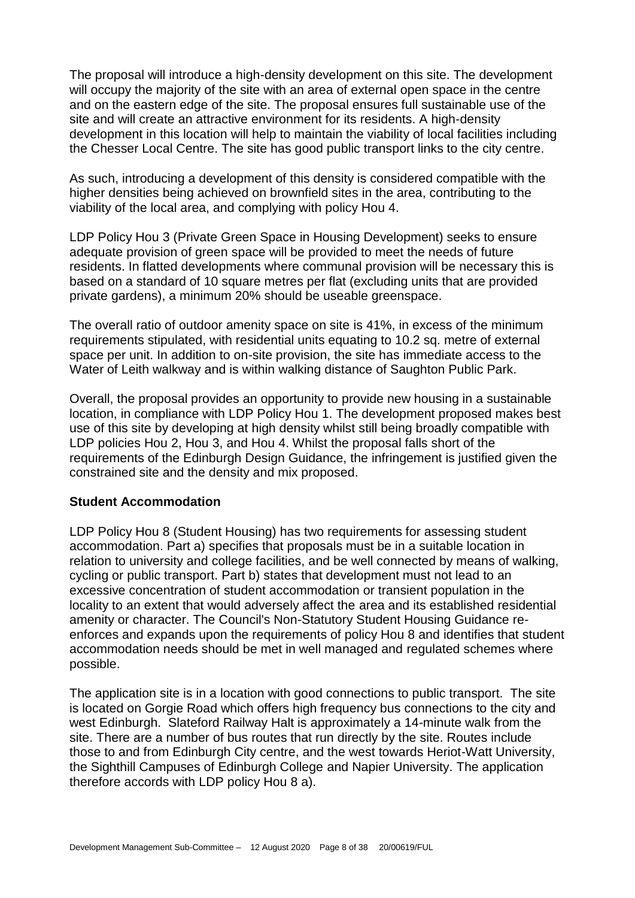The proposal will introduce a high-density development on this site. The development will occupy the majority of the site with an area of external open space in the centre and on the eastern edge of the site. The proposal ensures full sustainable use of the site and will create an attractive environment for its residents. A high-density development in this location will help to maintain the viability of local facilities including the Chesser Local Centre. The site has good public transport links to the city centre.

As such, introducing a development of this density is considered compatible with the higher densities being achieved on brownfield sites in the area, contributing to the viability of the local area, and complying with policy Hou 4.

LDP Policy Hou 3 (Private Green Space in Housing Development) seeks to ensure adequate provision of green space will be provided to meet the needs of future residents. In flatted developments where communal provision will be necessary this is based on a standard of 10 square metres per flat (excluding units that are provided private gardens), a minimum 20% should be useable greenspace.

The overall ratio of outdoor amenity space on site is 41%, in excess of the minimum requirements stipulated, with residential units equating to 10.2 sq. metre of external space per unit. In addition to on-site provision, the site has immediate access to the Water of Leith walkway and is within walking distance of Saughton Public Park.

Overall, the proposal provides an opportunity to provide new housing in a sustainable location, in compliance with LDP Policy Hou 1. The development proposed makes best use of this site by developing at high density whilst still being broadly compatible with LDP policies Hou 2, Hou 3, and Hou 4. Whilst the proposal falls short of the requirements of the Edinburgh Design Guidance, the infringement is justified given the constrained site and the density and mix proposed.

#### **Student Accommodation**

LDP Policy Hou 8 (Student Housing) has two requirements for assessing student accommodation. Part a) specifies that proposals must be in a suitable location in relation to university and college facilities, and be well connected by means of walking, cycling or public transport. Part b) states that development must not lead to an excessive concentration of student accommodation or transient population in the locality to an extent that would adversely affect the area and its established residential amenity or character. The Council's Non-Statutory Student Housing Guidance reenforces and expands upon the requirements of policy Hou 8 and identifies that student accommodation needs should be met in well managed and regulated schemes where possible.

The application site is in a location with good connections to public transport. The site is located on Gorgie Road which offers high frequency bus connections to the city and west Edinburgh. Slateford Railway Halt is approximately a 14-minute walk from the site. There are a number of bus routes that run directly by the site. Routes include those to and from Edinburgh City centre, and the west towards Heriot-Watt University, the Sighthill Campuses of Edinburgh College and Napier University. The application therefore accords with LDP policy Hou 8 a).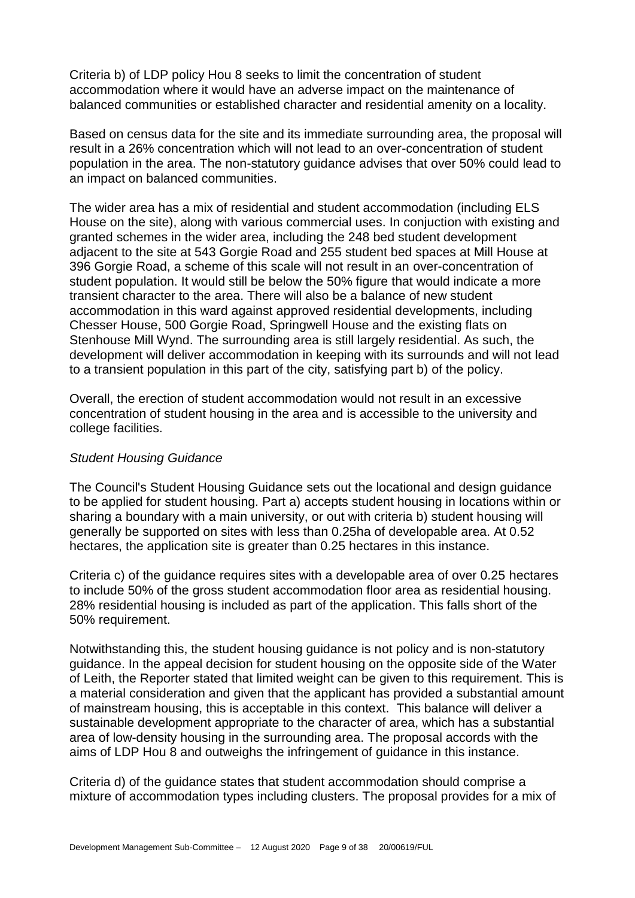Criteria b) of LDP policy Hou 8 seeks to limit the concentration of student accommodation where it would have an adverse impact on the maintenance of balanced communities or established character and residential amenity on a locality.

Based on census data for the site and its immediate surrounding area, the proposal will result in a 26% concentration which will not lead to an over-concentration of student population in the area. The non-statutory guidance advises that over 50% could lead to an impact on balanced communities.

The wider area has a mix of residential and student accommodation (including ELS House on the site), along with various commercial uses. In conjuction with existing and granted schemes in the wider area, including the 248 bed student development adjacent to the site at 543 Gorgie Road and 255 student bed spaces at Mill House at 396 Gorgie Road, a scheme of this scale will not result in an over-concentration of student population. It would still be below the 50% figure that would indicate a more transient character to the area. There will also be a balance of new student accommodation in this ward against approved residential developments, including Chesser House, 500 Gorgie Road, Springwell House and the existing flats on Stenhouse Mill Wynd. The surrounding area is still largely residential. As such, the development will deliver accommodation in keeping with its surrounds and will not lead to a transient population in this part of the city, satisfying part b) of the policy.

Overall, the erection of student accommodation would not result in an excessive concentration of student housing in the area and is accessible to the university and college facilities.

#### *Student Housing Guidance*

The Council's Student Housing Guidance sets out the locational and design guidance to be applied for student housing. Part a) accepts student housing in locations within or sharing a boundary with a main university, or out with criteria b) student housing will generally be supported on sites with less than 0.25ha of developable area. At 0.52 hectares, the application site is greater than 0.25 hectares in this instance.

Criteria c) of the guidance requires sites with a developable area of over 0.25 hectares to include 50% of the gross student accommodation floor area as residential housing. 28% residential housing is included as part of the application. This falls short of the 50% requirement.

Notwithstanding this, the student housing guidance is not policy and is non-statutory guidance. In the appeal decision for student housing on the opposite side of the Water of Leith, the Reporter stated that limited weight can be given to this requirement. This is a material consideration and given that the applicant has provided a substantial amount of mainstream housing, this is acceptable in this context. This balance will deliver a sustainable development appropriate to the character of area, which has a substantial area of low-density housing in the surrounding area. The proposal accords with the aims of LDP Hou 8 and outweighs the infringement of guidance in this instance.

Criteria d) of the guidance states that student accommodation should comprise a mixture of accommodation types including clusters. The proposal provides for a mix of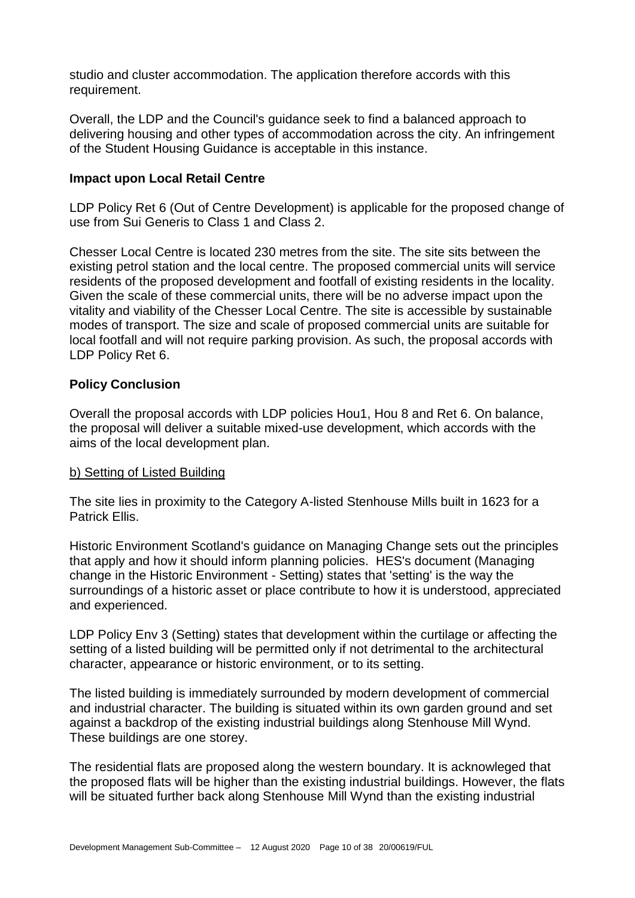studio and cluster accommodation. The application therefore accords with this requirement.

Overall, the LDP and the Council's guidance seek to find a balanced approach to delivering housing and other types of accommodation across the city. An infringement of the Student Housing Guidance is acceptable in this instance.

#### **Impact upon Local Retail Centre**

LDP Policy Ret 6 (Out of Centre Development) is applicable for the proposed change of use from Sui Generis to Class 1 and Class 2.

Chesser Local Centre is located 230 metres from the site. The site sits between the existing petrol station and the local centre. The proposed commercial units will service residents of the proposed development and footfall of existing residents in the locality. Given the scale of these commercial units, there will be no adverse impact upon the vitality and viability of the Chesser Local Centre. The site is accessible by sustainable modes of transport. The size and scale of proposed commercial units are suitable for local footfall and will not require parking provision. As such, the proposal accords with LDP Policy Ret 6.

#### **Policy Conclusion**

Overall the proposal accords with LDP policies Hou1, Hou 8 and Ret 6. On balance, the proposal will deliver a suitable mixed-use development, which accords with the aims of the local development plan.

#### b) Setting of Listed Building

The site lies in proximity to the Category A-listed Stenhouse Mills built in 1623 for a Patrick Ellis.

Historic Environment Scotland's guidance on Managing Change sets out the principles that apply and how it should inform planning policies. HES's document (Managing change in the Historic Environment - Setting) states that 'setting' is the way the surroundings of a historic asset or place contribute to how it is understood, appreciated and experienced.

LDP Policy Env 3 (Setting) states that development within the curtilage or affecting the setting of a listed building will be permitted only if not detrimental to the architectural character, appearance or historic environment, or to its setting.

The listed building is immediately surrounded by modern development of commercial and industrial character. The building is situated within its own garden ground and set against a backdrop of the existing industrial buildings along Stenhouse Mill Wynd. These buildings are one storey.

The residential flats are proposed along the western boundary. It is acknowleged that the proposed flats will be higher than the existing industrial buildings. However, the flats will be situated further back along Stenhouse Mill Wynd than the existing industrial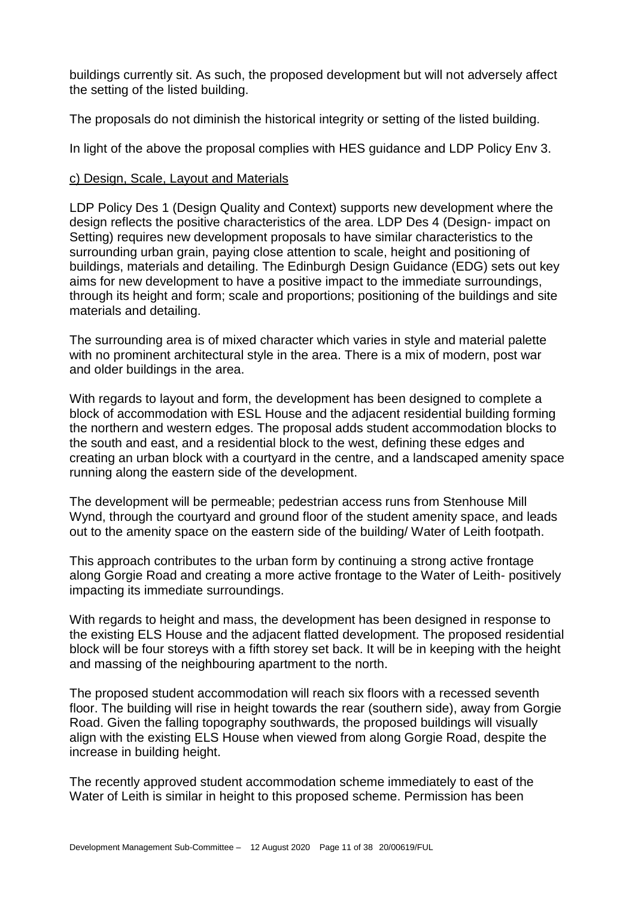buildings currently sit. As such, the proposed development but will not adversely affect the setting of the listed building.

The proposals do not diminish the historical integrity or setting of the listed building.

In light of the above the proposal complies with HES guidance and LDP Policy Env 3.

#### c) Design, Scale, Layout and Materials

LDP Policy Des 1 (Design Quality and Context) supports new development where the design reflects the positive characteristics of the area. LDP Des 4 (Design- impact on Setting) requires new development proposals to have similar characteristics to the surrounding urban grain, paying close attention to scale, height and positioning of buildings, materials and detailing. The Edinburgh Design Guidance (EDG) sets out key aims for new development to have a positive impact to the immediate surroundings, through its height and form; scale and proportions; positioning of the buildings and site materials and detailing.

The surrounding area is of mixed character which varies in style and material palette with no prominent architectural style in the area. There is a mix of modern, post war and older buildings in the area.

With regards to layout and form, the development has been designed to complete a block of accommodation with ESL House and the adjacent residential building forming the northern and western edges. The proposal adds student accommodation blocks to the south and east, and a residential block to the west, defining these edges and creating an urban block with a courtyard in the centre, and a landscaped amenity space running along the eastern side of the development.

The development will be permeable; pedestrian access runs from Stenhouse Mill Wynd, through the courtyard and ground floor of the student amenity space, and leads out to the amenity space on the eastern side of the building/ Water of Leith footpath.

This approach contributes to the urban form by continuing a strong active frontage along Gorgie Road and creating a more active frontage to the Water of Leith- positively impacting its immediate surroundings.

With regards to height and mass, the development has been designed in response to the existing ELS House and the adjacent flatted development. The proposed residential block will be four storeys with a fifth storey set back. It will be in keeping with the height and massing of the neighbouring apartment to the north.

The proposed student accommodation will reach six floors with a recessed seventh floor. The building will rise in height towards the rear (southern side), away from Gorgie Road. Given the falling topography southwards, the proposed buildings will visually align with the existing ELS House when viewed from along Gorgie Road, despite the increase in building height.

The recently approved student accommodation scheme immediately to east of the Water of Leith is similar in height to this proposed scheme. Permission has been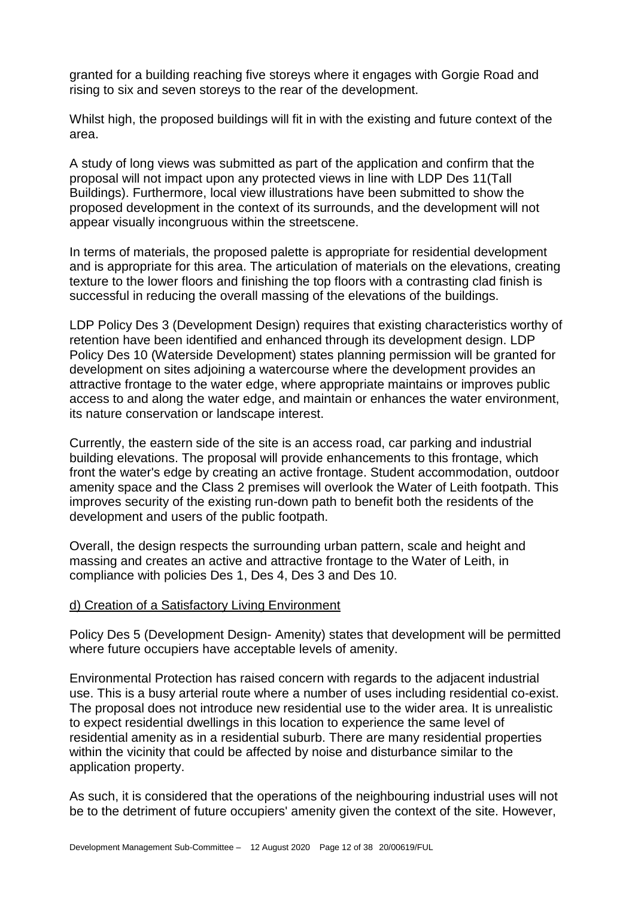granted for a building reaching five storeys where it engages with Gorgie Road and rising to six and seven storeys to the rear of the development.

Whilst high, the proposed buildings will fit in with the existing and future context of the area.

A study of long views was submitted as part of the application and confirm that the proposal will not impact upon any protected views in line with LDP Des 11(Tall Buildings). Furthermore, local view illustrations have been submitted to show the proposed development in the context of its surrounds, and the development will not appear visually incongruous within the streetscene.

In terms of materials, the proposed palette is appropriate for residential development and is appropriate for this area. The articulation of materials on the elevations, creating texture to the lower floors and finishing the top floors with a contrasting clad finish is successful in reducing the overall massing of the elevations of the buildings.

LDP Policy Des 3 (Development Design) requires that existing characteristics worthy of retention have been identified and enhanced through its development design. LDP Policy Des 10 (Waterside Development) states planning permission will be granted for development on sites adjoining a watercourse where the development provides an attractive frontage to the water edge, where appropriate maintains or improves public access to and along the water edge, and maintain or enhances the water environment, its nature conservation or landscape interest.

Currently, the eastern side of the site is an access road, car parking and industrial building elevations. The proposal will provide enhancements to this frontage, which front the water's edge by creating an active frontage. Student accommodation, outdoor amenity space and the Class 2 premises will overlook the Water of Leith footpath. This improves security of the existing run-down path to benefit both the residents of the development and users of the public footpath.

Overall, the design respects the surrounding urban pattern, scale and height and massing and creates an active and attractive frontage to the Water of Leith, in compliance with policies Des 1, Des 4, Des 3 and Des 10.

#### d) Creation of a Satisfactory Living Environment

Policy Des 5 (Development Design- Amenity) states that development will be permitted where future occupiers have acceptable levels of amenity.

Environmental Protection has raised concern with regards to the adjacent industrial use. This is a busy arterial route where a number of uses including residential co-exist. The proposal does not introduce new residential use to the wider area. It is unrealistic to expect residential dwellings in this location to experience the same level of residential amenity as in a residential suburb. There are many residential properties within the vicinity that could be affected by noise and disturbance similar to the application property.

As such, it is considered that the operations of the neighbouring industrial uses will not be to the detriment of future occupiers' amenity given the context of the site. However,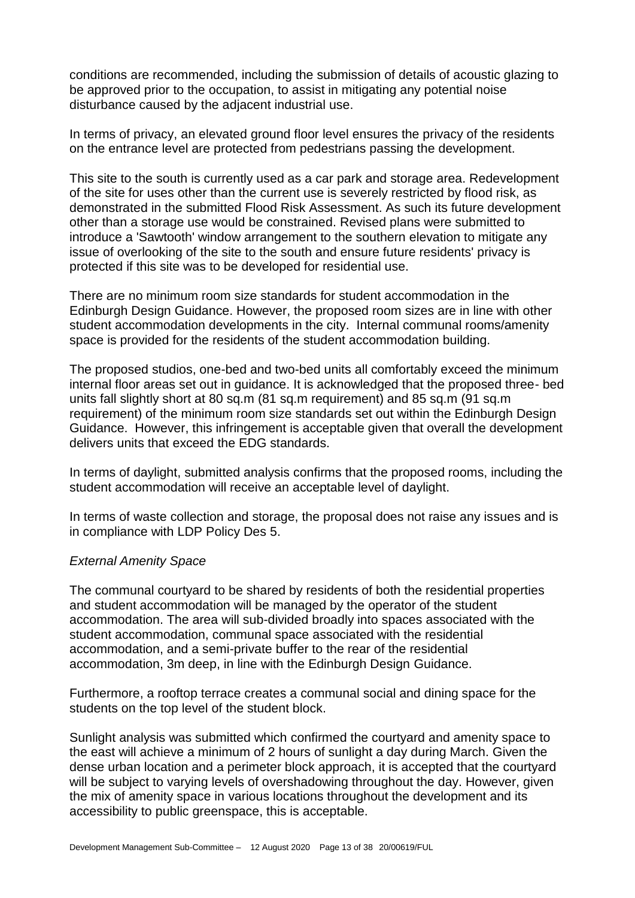conditions are recommended, including the submission of details of acoustic glazing to be approved prior to the occupation, to assist in mitigating any potential noise disturbance caused by the adjacent industrial use.

In terms of privacy, an elevated ground floor level ensures the privacy of the residents on the entrance level are protected from pedestrians passing the development.

This site to the south is currently used as a car park and storage area. Redevelopment of the site for uses other than the current use is severely restricted by flood risk, as demonstrated in the submitted Flood Risk Assessment. As such its future development other than a storage use would be constrained. Revised plans were submitted to introduce a 'Sawtooth' window arrangement to the southern elevation to mitigate any issue of overlooking of the site to the south and ensure future residents' privacy is protected if this site was to be developed for residential use.

There are no minimum room size standards for student accommodation in the Edinburgh Design Guidance. However, the proposed room sizes are in line with other student accommodation developments in the city. Internal communal rooms/amenity space is provided for the residents of the student accommodation building.

The proposed studios, one-bed and two-bed units all comfortably exceed the minimum internal floor areas set out in guidance. It is acknowledged that the proposed three- bed units fall slightly short at 80 sq.m (81 sq.m requirement) and 85 sq.m (91 sq.m requirement) of the minimum room size standards set out within the Edinburgh Design Guidance. However, this infringement is acceptable given that overall the development delivers units that exceed the EDG standards.

In terms of daylight, submitted analysis confirms that the proposed rooms, including the student accommodation will receive an acceptable level of daylight.

In terms of waste collection and storage, the proposal does not raise any issues and is in compliance with LDP Policy Des 5.

#### *External Amenity Space*

The communal courtyard to be shared by residents of both the residential properties and student accommodation will be managed by the operator of the student accommodation. The area will sub-divided broadly into spaces associated with the student accommodation, communal space associated with the residential accommodation, and a semi-private buffer to the rear of the residential accommodation, 3m deep, in line with the Edinburgh Design Guidance.

Furthermore, a rooftop terrace creates a communal social and dining space for the students on the top level of the student block.

Sunlight analysis was submitted which confirmed the courtyard and amenity space to the east will achieve a minimum of 2 hours of sunlight a day during March. Given the dense urban location and a perimeter block approach, it is accepted that the courtyard will be subject to varying levels of overshadowing throughout the day. However, given the mix of amenity space in various locations throughout the development and its accessibility to public greenspace, this is acceptable.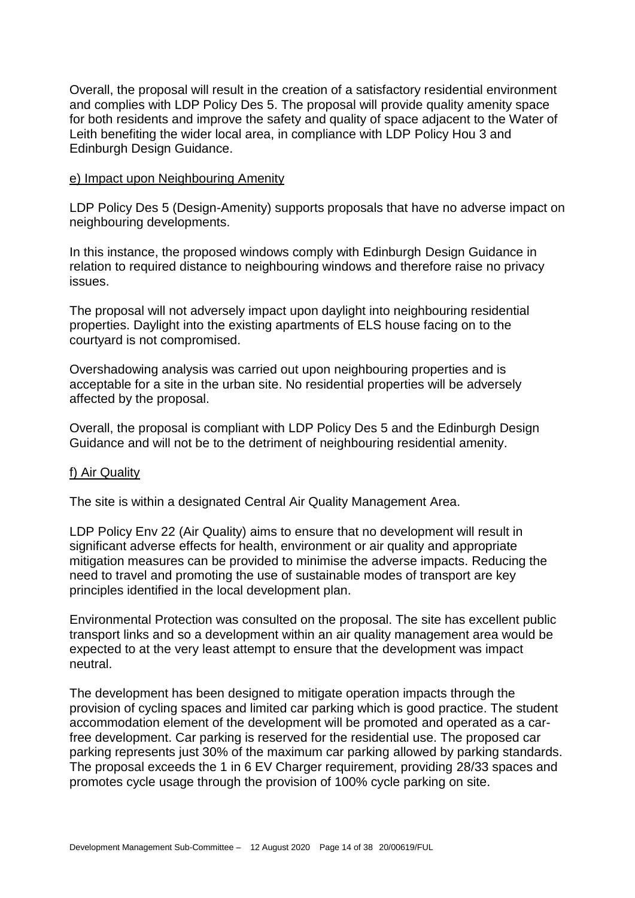Overall, the proposal will result in the creation of a satisfactory residential environment and complies with LDP Policy Des 5. The proposal will provide quality amenity space for both residents and improve the safety and quality of space adjacent to the Water of Leith benefiting the wider local area, in compliance with LDP Policy Hou 3 and Edinburgh Design Guidance.

#### e) Impact upon Neighbouring Amenity

LDP Policy Des 5 (Design-Amenity) supports proposals that have no adverse impact on neighbouring developments.

In this instance, the proposed windows comply with Edinburgh Design Guidance in relation to required distance to neighbouring windows and therefore raise no privacy issues.

The proposal will not adversely impact upon daylight into neighbouring residential properties. Daylight into the existing apartments of ELS house facing on to the courtyard is not compromised.

Overshadowing analysis was carried out upon neighbouring properties and is acceptable for a site in the urban site. No residential properties will be adversely affected by the proposal.

Overall, the proposal is compliant with LDP Policy Des 5 and the Edinburgh Design Guidance and will not be to the detriment of neighbouring residential amenity.

#### f) Air Quality

The site is within a designated Central Air Quality Management Area.

LDP Policy Env 22 (Air Quality) aims to ensure that no development will result in significant adverse effects for health, environment or air quality and appropriate mitigation measures can be provided to minimise the adverse impacts. Reducing the need to travel and promoting the use of sustainable modes of transport are key principles identified in the local development plan.

Environmental Protection was consulted on the proposal. The site has excellent public transport links and so a development within an air quality management area would be expected to at the very least attempt to ensure that the development was impact neutral.

The development has been designed to mitigate operation impacts through the provision of cycling spaces and limited car parking which is good practice. The student accommodation element of the development will be promoted and operated as a carfree development. Car parking is reserved for the residential use. The proposed car parking represents just 30% of the maximum car parking allowed by parking standards. The proposal exceeds the 1 in 6 EV Charger requirement, providing 28/33 spaces and promotes cycle usage through the provision of 100% cycle parking on site.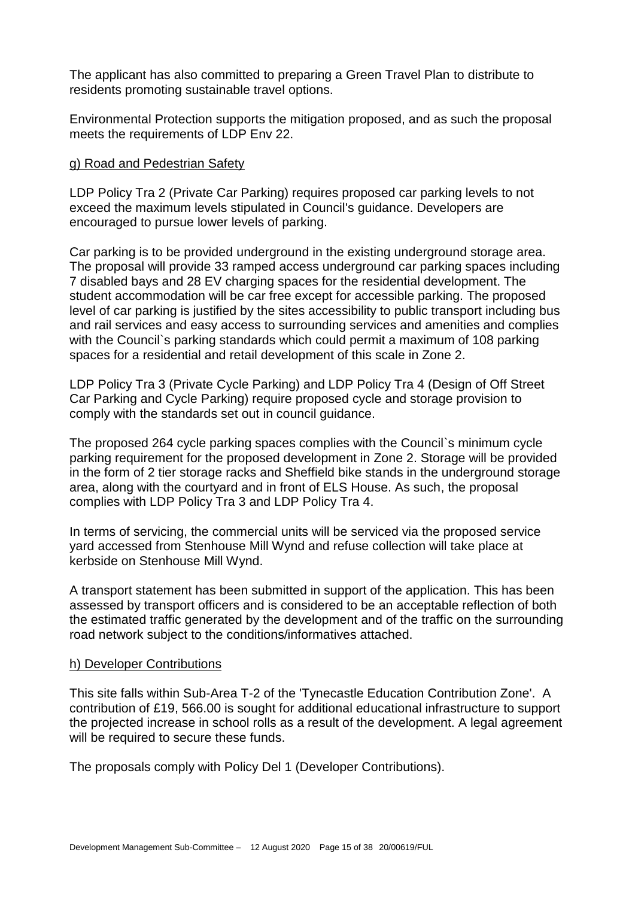The applicant has also committed to preparing a Green Travel Plan to distribute to residents promoting sustainable travel options.

Environmental Protection supports the mitigation proposed, and as such the proposal meets the requirements of LDP Env 22.

#### g) Road and Pedestrian Safety

LDP Policy Tra 2 (Private Car Parking) requires proposed car parking levels to not exceed the maximum levels stipulated in Council's guidance. Developers are encouraged to pursue lower levels of parking.

Car parking is to be provided underground in the existing underground storage area. The proposal will provide 33 ramped access underground car parking spaces including 7 disabled bays and 28 EV charging spaces for the residential development. The student accommodation will be car free except for accessible parking. The proposed level of car parking is justified by the sites accessibility to public transport including bus and rail services and easy access to surrounding services and amenities and complies with the Council`s parking standards which could permit a maximum of 108 parking spaces for a residential and retail development of this scale in Zone 2.

LDP Policy Tra 3 (Private Cycle Parking) and LDP Policy Tra 4 (Design of Off Street Car Parking and Cycle Parking) require proposed cycle and storage provision to comply with the standards set out in council guidance.

The proposed 264 cycle parking spaces complies with the Council`s minimum cycle parking requirement for the proposed development in Zone 2. Storage will be provided in the form of 2 tier storage racks and Sheffield bike stands in the underground storage area, along with the courtyard and in front of ELS House. As such, the proposal complies with LDP Policy Tra 3 and LDP Policy Tra 4.

In terms of servicing, the commercial units will be serviced via the proposed service yard accessed from Stenhouse Mill Wynd and refuse collection will take place at kerbside on Stenhouse Mill Wynd.

A transport statement has been submitted in support of the application. This has been assessed by transport officers and is considered to be an acceptable reflection of both the estimated traffic generated by the development and of the traffic on the surrounding road network subject to the conditions/informatives attached.

#### h) Developer Contributions

This site falls within Sub-Area T-2 of the 'Tynecastle Education Contribution Zone'. A contribution of £19, 566.00 is sought for additional educational infrastructure to support the projected increase in school rolls as a result of the development. A legal agreement will be required to secure these funds.

The proposals comply with Policy Del 1 (Developer Contributions).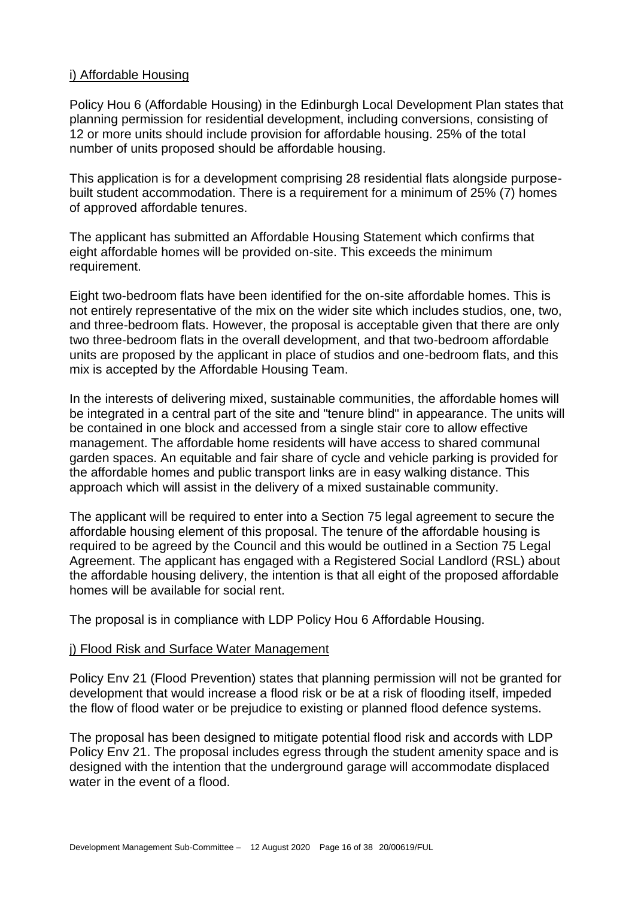#### i) Affordable Housing

Policy Hou 6 (Affordable Housing) in the Edinburgh Local Development Plan states that planning permission for residential development, including conversions, consisting of 12 or more units should include provision for affordable housing. 25% of the total number of units proposed should be affordable housing.

This application is for a development comprising 28 residential flats alongside purposebuilt student accommodation. There is a requirement for a minimum of 25% (7) homes of approved affordable tenures.

The applicant has submitted an Affordable Housing Statement which confirms that eight affordable homes will be provided on-site. This exceeds the minimum requirement.

Eight two-bedroom flats have been identified for the on-site affordable homes. This is not entirely representative of the mix on the wider site which includes studios, one, two, and three-bedroom flats. However, the proposal is acceptable given that there are only two three-bedroom flats in the overall development, and that two-bedroom affordable units are proposed by the applicant in place of studios and one-bedroom flats, and this mix is accepted by the Affordable Housing Team.

In the interests of delivering mixed, sustainable communities, the affordable homes will be integrated in a central part of the site and "tenure blind" in appearance. The units will be contained in one block and accessed from a single stair core to allow effective management. The affordable home residents will have access to shared communal garden spaces. An equitable and fair share of cycle and vehicle parking is provided for the affordable homes and public transport links are in easy walking distance. This approach which will assist in the delivery of a mixed sustainable community.

The applicant will be required to enter into a Section 75 legal agreement to secure the affordable housing element of this proposal. The tenure of the affordable housing is required to be agreed by the Council and this would be outlined in a Section 75 Legal Agreement. The applicant has engaged with a Registered Social Landlord (RSL) about the affordable housing delivery, the intention is that all eight of the proposed affordable homes will be available for social rent.

The proposal is in compliance with LDP Policy Hou 6 Affordable Housing.

#### j) Flood Risk and Surface Water Management

Policy Env 21 (Flood Prevention) states that planning permission will not be granted for development that would increase a flood risk or be at a risk of flooding itself, impeded the flow of flood water or be prejudice to existing or planned flood defence systems.

The proposal has been designed to mitigate potential flood risk and accords with LDP Policy Env 21. The proposal includes egress through the student amenity space and is designed with the intention that the underground garage will accommodate displaced water in the event of a flood.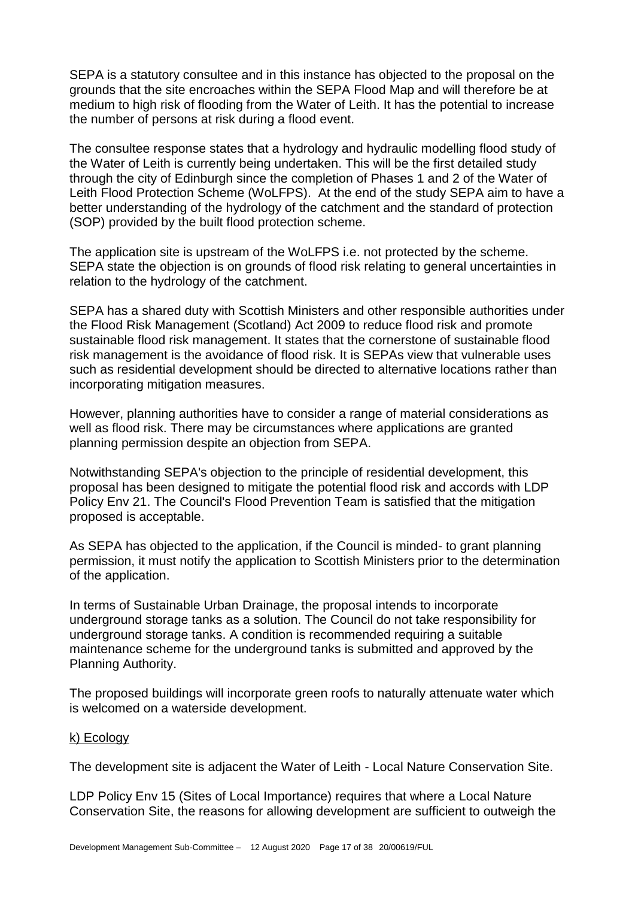SEPA is a statutory consultee and in this instance has objected to the proposal on the grounds that the site encroaches within the SEPA Flood Map and will therefore be at medium to high risk of flooding from the Water of Leith. It has the potential to increase the number of persons at risk during a flood event.

The consultee response states that a hydrology and hydraulic modelling flood study of the Water of Leith is currently being undertaken. This will be the first detailed study through the city of Edinburgh since the completion of Phases 1 and 2 of the Water of Leith Flood Protection Scheme (WoLFPS). At the end of the study SEPA aim to have a better understanding of the hydrology of the catchment and the standard of protection (SOP) provided by the built flood protection scheme.

The application site is upstream of the WoLFPS i.e. not protected by the scheme. SEPA state the obiection is on grounds of flood risk relating to general uncertainties in relation to the hydrology of the catchment.

SEPA has a shared duty with Scottish Ministers and other responsible authorities under the Flood Risk Management (Scotland) Act 2009 to reduce flood risk and promote sustainable flood risk management. It states that the cornerstone of sustainable flood risk management is the avoidance of flood risk. It is SEPAs view that vulnerable uses such as residential development should be directed to alternative locations rather than incorporating mitigation measures.

However, planning authorities have to consider a range of material considerations as well as flood risk. There may be circumstances where applications are granted planning permission despite an objection from SEPA.

Notwithstanding SEPA's objection to the principle of residential development, this proposal has been designed to mitigate the potential flood risk and accords with LDP Policy Env 21. The Council's Flood Prevention Team is satisfied that the mitigation proposed is acceptable.

As SEPA has objected to the application, if the Council is minded- to grant planning permission, it must notify the application to Scottish Ministers prior to the determination of the application.

In terms of Sustainable Urban Drainage, the proposal intends to incorporate underground storage tanks as a solution. The Council do not take responsibility for underground storage tanks. A condition is recommended requiring a suitable maintenance scheme for the underground tanks is submitted and approved by the Planning Authority.

The proposed buildings will incorporate green roofs to naturally attenuate water which is welcomed on a waterside development.

#### k) Ecology

The development site is adjacent the Water of Leith - Local Nature Conservation Site.

LDP Policy Env 15 (Sites of Local Importance) requires that where a Local Nature Conservation Site, the reasons for allowing development are sufficient to outweigh the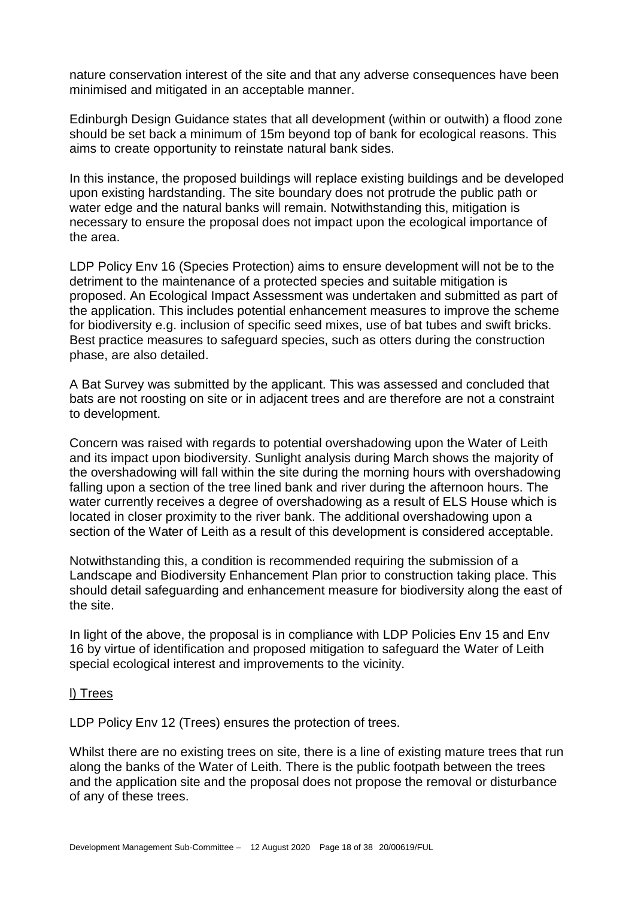nature conservation interest of the site and that any adverse consequences have been minimised and mitigated in an acceptable manner.

Edinburgh Design Guidance states that all development (within or outwith) a flood zone should be set back a minimum of 15m beyond top of bank for ecological reasons. This aims to create opportunity to reinstate natural bank sides.

In this instance, the proposed buildings will replace existing buildings and be developed upon existing hardstanding. The site boundary does not protrude the public path or water edge and the natural banks will remain. Notwithstanding this, mitigation is necessary to ensure the proposal does not impact upon the ecological importance of the area.

LDP Policy Env 16 (Species Protection) aims to ensure development will not be to the detriment to the maintenance of a protected species and suitable mitigation is proposed. An Ecological Impact Assessment was undertaken and submitted as part of the application. This includes potential enhancement measures to improve the scheme for biodiversity e.g. inclusion of specific seed mixes, use of bat tubes and swift bricks. Best practice measures to safeguard species, such as otters during the construction phase, are also detailed.

A Bat Survey was submitted by the applicant. This was assessed and concluded that bats are not roosting on site or in adjacent trees and are therefore are not a constraint to development.

Concern was raised with regards to potential overshadowing upon the Water of Leith and its impact upon biodiversity. Sunlight analysis during March shows the majority of the overshadowing will fall within the site during the morning hours with overshadowing falling upon a section of the tree lined bank and river during the afternoon hours. The water currently receives a degree of overshadowing as a result of ELS House which is located in closer proximity to the river bank. The additional overshadowing upon a section of the Water of Leith as a result of this development is considered acceptable.

Notwithstanding this, a condition is recommended requiring the submission of a Landscape and Biodiversity Enhancement Plan prior to construction taking place. This should detail safeguarding and enhancement measure for biodiversity along the east of the site.

In light of the above, the proposal is in compliance with LDP Policies Env 15 and Env 16 by virtue of identification and proposed mitigation to safeguard the Water of Leith special ecological interest and improvements to the vicinity.

#### l) Trees

LDP Policy Env 12 (Trees) ensures the protection of trees.

Whilst there are no existing trees on site, there is a line of existing mature trees that run along the banks of the Water of Leith. There is the public footpath between the trees and the application site and the proposal does not propose the removal or disturbance of any of these trees.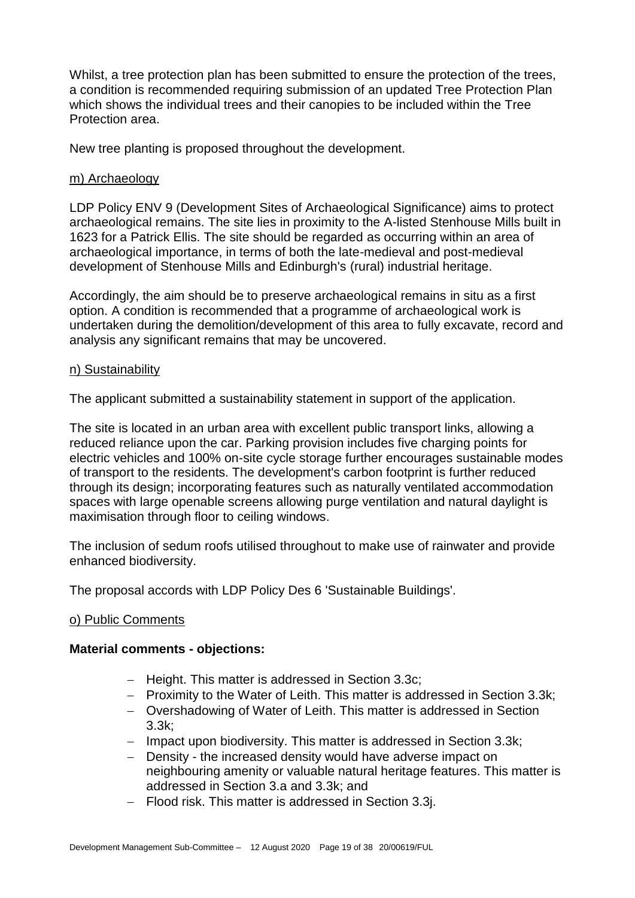Whilst, a tree protection plan has been submitted to ensure the protection of the trees, a condition is recommended requiring submission of an updated Tree Protection Plan which shows the individual trees and their canopies to be included within the Tree Protection area.

New tree planting is proposed throughout the development.

#### m) Archaeology

LDP Policy ENV 9 (Development Sites of Archaeological Significance) aims to protect archaeological remains. The site lies in proximity to the A-listed Stenhouse Mills built in 1623 for a Patrick Ellis. The site should be regarded as occurring within an area of archaeological importance, in terms of both the late-medieval and post-medieval development of Stenhouse Mills and Edinburgh's (rural) industrial heritage.

Accordingly, the aim should be to preserve archaeological remains in situ as a first option. A condition is recommended that a programme of archaeological work is undertaken during the demolition/development of this area to fully excavate, record and analysis any significant remains that may be uncovered.

#### n) Sustainability

The applicant submitted a sustainability statement in support of the application.

The site is located in an urban area with excellent public transport links, allowing a reduced reliance upon the car. Parking provision includes five charging points for electric vehicles and 100% on-site cycle storage further encourages sustainable modes of transport to the residents. The development's carbon footprint is further reduced through its design; incorporating features such as naturally ventilated accommodation spaces with large openable screens allowing purge ventilation and natural daylight is maximisation through floor to ceiling windows.

The inclusion of sedum roofs utilised throughout to make use of rainwater and provide enhanced biodiversity.

The proposal accords with LDP Policy Des 6 'Sustainable Buildings'.

#### o) Public Comments

#### **Material comments - objections:**

- − Height. This matter is addressed in Section 3.3c;
- − Proximity to the Water of Leith. This matter is addressed in Section 3.3k;
- − Overshadowing of Water of Leith. This matter is addressed in Section 3.3k;
- − Impact upon biodiversity. This matter is addressed in Section 3.3k;
- − Density the increased density would have adverse impact on neighbouring amenity or valuable natural heritage features. This matter is addressed in Section 3.a and 3.3k; and
- − Flood risk. This matter is addressed in Section 3.3j.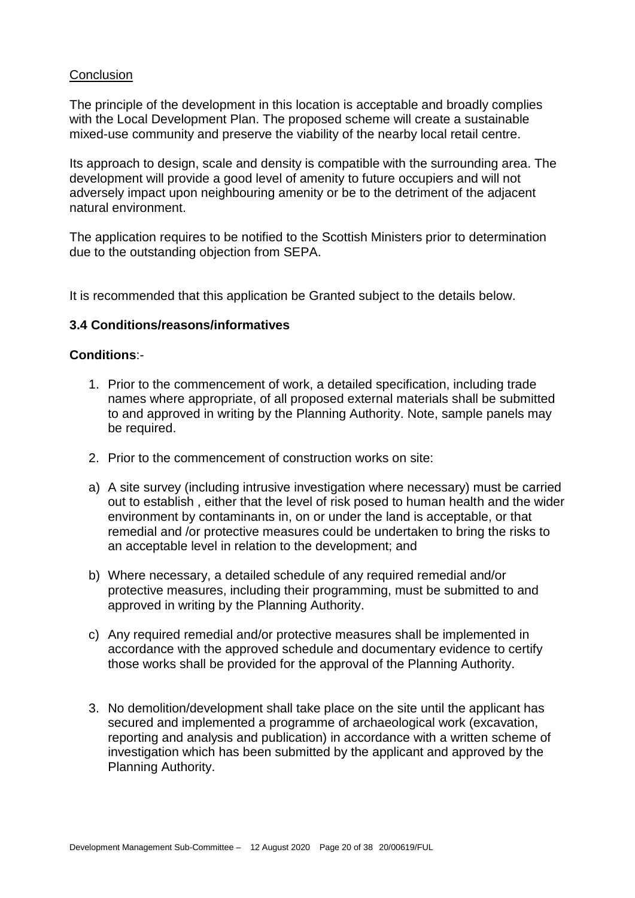#### **Conclusion**

The principle of the development in this location is acceptable and broadly complies with the Local Development Plan. The proposed scheme will create a sustainable mixed-use community and preserve the viability of the nearby local retail centre.

Its approach to design, scale and density is compatible with the surrounding area. The development will provide a good level of amenity to future occupiers and will not adversely impact upon neighbouring amenity or be to the detriment of the adjacent natural environment.

The application requires to be notified to the Scottish Ministers prior to determination due to the outstanding objection from SEPA.

It is recommended that this application be Granted subject to the details below.

#### **3.4 Conditions/reasons/informatives**

#### **Conditions**:-

- 1. Prior to the commencement of work, a detailed specification, including trade names where appropriate, of all proposed external materials shall be submitted to and approved in writing by the Planning Authority. Note, sample panels may be required.
- 2. Prior to the commencement of construction works on site:
- a) A site survey (including intrusive investigation where necessary) must be carried out to establish , either that the level of risk posed to human health and the wider environment by contaminants in, on or under the land is acceptable, or that remedial and /or protective measures could be undertaken to bring the risks to an acceptable level in relation to the development; and
- b) Where necessary, a detailed schedule of any required remedial and/or protective measures, including their programming, must be submitted to and approved in writing by the Planning Authority.
- c) Any required remedial and/or protective measures shall be implemented in accordance with the approved schedule and documentary evidence to certify those works shall be provided for the approval of the Planning Authority.
- 3. No demolition/development shall take place on the site until the applicant has secured and implemented a programme of archaeological work (excavation, reporting and analysis and publication) in accordance with a written scheme of investigation which has been submitted by the applicant and approved by the Planning Authority.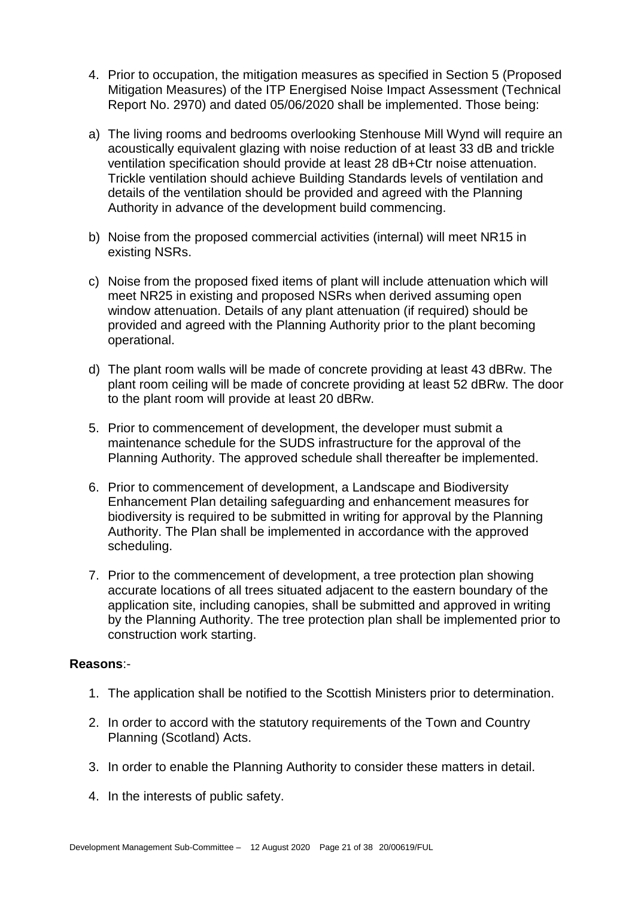- 4. Prior to occupation, the mitigation measures as specified in Section 5 (Proposed Mitigation Measures) of the ITP Energised Noise Impact Assessment (Technical Report No. 2970) and dated 05/06/2020 shall be implemented. Those being:
- a) The living rooms and bedrooms overlooking Stenhouse Mill Wynd will require an acoustically equivalent glazing with noise reduction of at least 33 dB and trickle ventilation specification should provide at least 28 dB+Ctr noise attenuation. Trickle ventilation should achieve Building Standards levels of ventilation and details of the ventilation should be provided and agreed with the Planning Authority in advance of the development build commencing.
- b) Noise from the proposed commercial activities (internal) will meet NR15 in existing NSRs.
- c) Noise from the proposed fixed items of plant will include attenuation which will meet NR25 in existing and proposed NSRs when derived assuming open window attenuation. Details of any plant attenuation (if required) should be provided and agreed with the Planning Authority prior to the plant becoming operational.
- d) The plant room walls will be made of concrete providing at least 43 dBRw. The plant room ceiling will be made of concrete providing at least 52 dBRw. The door to the plant room will provide at least 20 dBRw.
- 5. Prior to commencement of development, the developer must submit a maintenance schedule for the SUDS infrastructure for the approval of the Planning Authority. The approved schedule shall thereafter be implemented.
- 6. Prior to commencement of development, a Landscape and Biodiversity Enhancement Plan detailing safeguarding and enhancement measures for biodiversity is required to be submitted in writing for approval by the Planning Authority. The Plan shall be implemented in accordance with the approved scheduling.
- 7. Prior to the commencement of development, a tree protection plan showing accurate locations of all trees situated adjacent to the eastern boundary of the application site, including canopies, shall be submitted and approved in writing by the Planning Authority. The tree protection plan shall be implemented prior to construction work starting.

#### **Reasons**:-

- 1. The application shall be notified to the Scottish Ministers prior to determination.
- 2. In order to accord with the statutory requirements of the Town and Country Planning (Scotland) Acts.
- 3. In order to enable the Planning Authority to consider these matters in detail.
- 4. In the interests of public safety.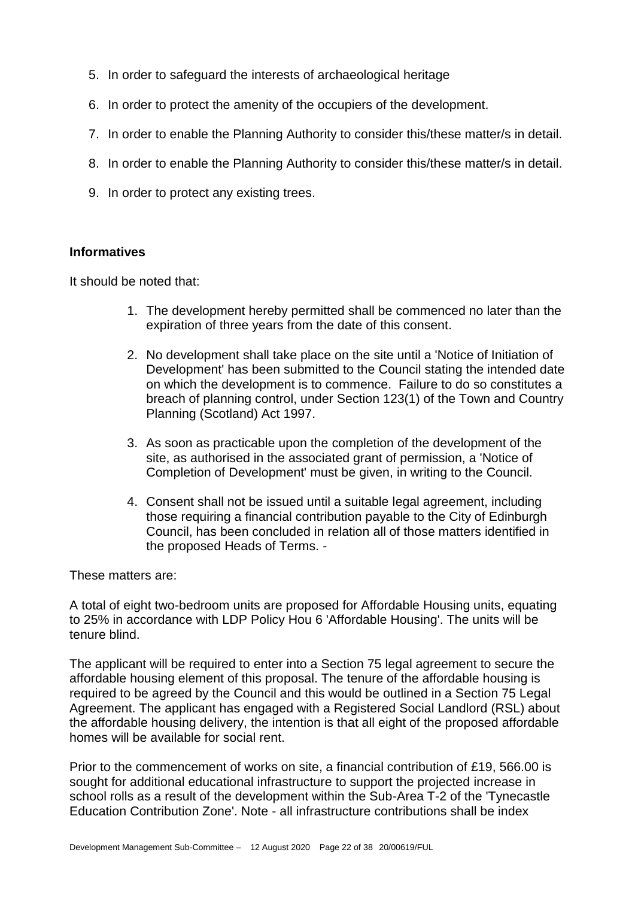- 5. In order to safeguard the interests of archaeological heritage
- 6. In order to protect the amenity of the occupiers of the development.
- 7. In order to enable the Planning Authority to consider this/these matter/s in detail.
- 8. In order to enable the Planning Authority to consider this/these matter/s in detail.
- 9. In order to protect any existing trees.

#### **Informatives**

It should be noted that:

- 1. The development hereby permitted shall be commenced no later than the expiration of three years from the date of this consent.
- 2. No development shall take place on the site until a 'Notice of Initiation of Development' has been submitted to the Council stating the intended date on which the development is to commence. Failure to do so constitutes a breach of planning control, under Section 123(1) of the Town and Country Planning (Scotland) Act 1997.
- 3. As soon as practicable upon the completion of the development of the site, as authorised in the associated grant of permission, a 'Notice of Completion of Development' must be given, in writing to the Council.
- 4. Consent shall not be issued until a suitable legal agreement, including those requiring a financial contribution payable to the City of Edinburgh Council, has been concluded in relation all of those matters identified in the proposed Heads of Terms. -

These matters are:

A total of eight two-bedroom units are proposed for Affordable Housing units, equating to 25% in accordance with LDP Policy Hou 6 'Affordable Housing'. The units will be tenure blind.

The applicant will be required to enter into a Section 75 legal agreement to secure the affordable housing element of this proposal. The tenure of the affordable housing is required to be agreed by the Council and this would be outlined in a Section 75 Legal Agreement. The applicant has engaged with a Registered Social Landlord (RSL) about the affordable housing delivery, the intention is that all eight of the proposed affordable homes will be available for social rent.

Prior to the commencement of works on site, a financial contribution of £19, 566.00 is sought for additional educational infrastructure to support the projected increase in school rolls as a result of the development within the Sub-Area T-2 of the 'Tynecastle Education Contribution Zone'. Note - all infrastructure contributions shall be index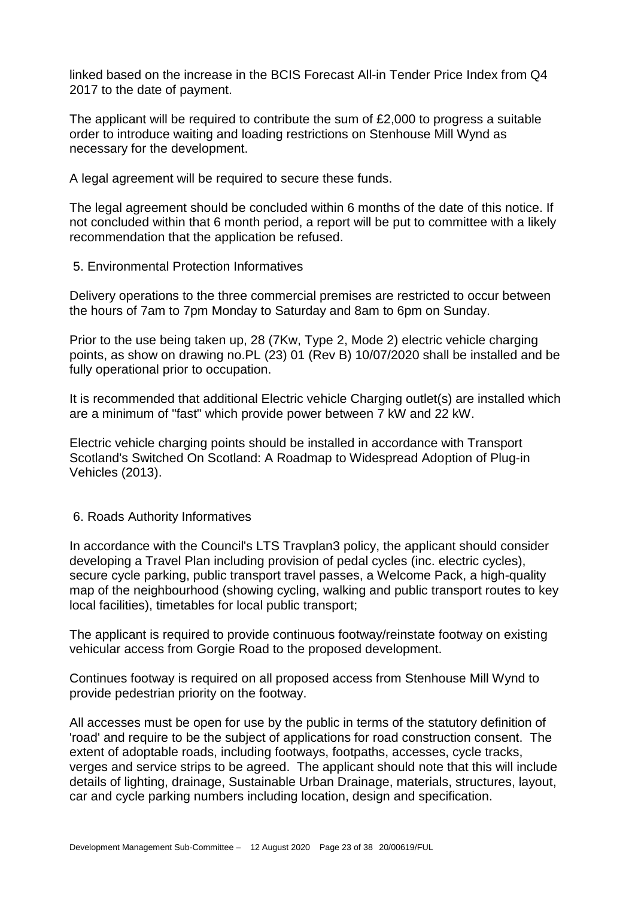linked based on the increase in the BCIS Forecast All-in Tender Price Index from Q4 2017 to the date of payment.

The applicant will be required to contribute the sum of £2,000 to progress a suitable order to introduce waiting and loading restrictions on Stenhouse Mill Wynd as necessary for the development.

A legal agreement will be required to secure these funds.

The legal agreement should be concluded within 6 months of the date of this notice. If not concluded within that 6 month period, a report will be put to committee with a likely recommendation that the application be refused.

5. Environmental Protection Informatives

Delivery operations to the three commercial premises are restricted to occur between the hours of 7am to 7pm Monday to Saturday and 8am to 6pm on Sunday.

Prior to the use being taken up, 28 (7Kw, Type 2, Mode 2) electric vehicle charging points, as show on drawing no.PL (23) 01 (Rev B) 10/07/2020 shall be installed and be fully operational prior to occupation.

It is recommended that additional Electric vehicle Charging outlet(s) are installed which are a minimum of "fast" which provide power between 7 kW and 22 kW.

Electric vehicle charging points should be installed in accordance with Transport Scotland's Switched On Scotland: A Roadmap to Widespread Adoption of Plug-in Vehicles (2013).

#### 6. Roads Authority Informatives

In accordance with the Council's LTS Travplan3 policy, the applicant should consider developing a Travel Plan including provision of pedal cycles (inc. electric cycles), secure cycle parking, public transport travel passes, a Welcome Pack, a high-quality map of the neighbourhood (showing cycling, walking and public transport routes to key local facilities), timetables for local public transport;

The applicant is required to provide continuous footway/reinstate footway on existing vehicular access from Gorgie Road to the proposed development.

Continues footway is required on all proposed access from Stenhouse Mill Wynd to provide pedestrian priority on the footway.

All accesses must be open for use by the public in terms of the statutory definition of 'road' and require to be the subject of applications for road construction consent. The extent of adoptable roads, including footways, footpaths, accesses, cycle tracks, verges and service strips to be agreed. The applicant should note that this will include details of lighting, drainage, Sustainable Urban Drainage, materials, structures, layout, car and cycle parking numbers including location, design and specification.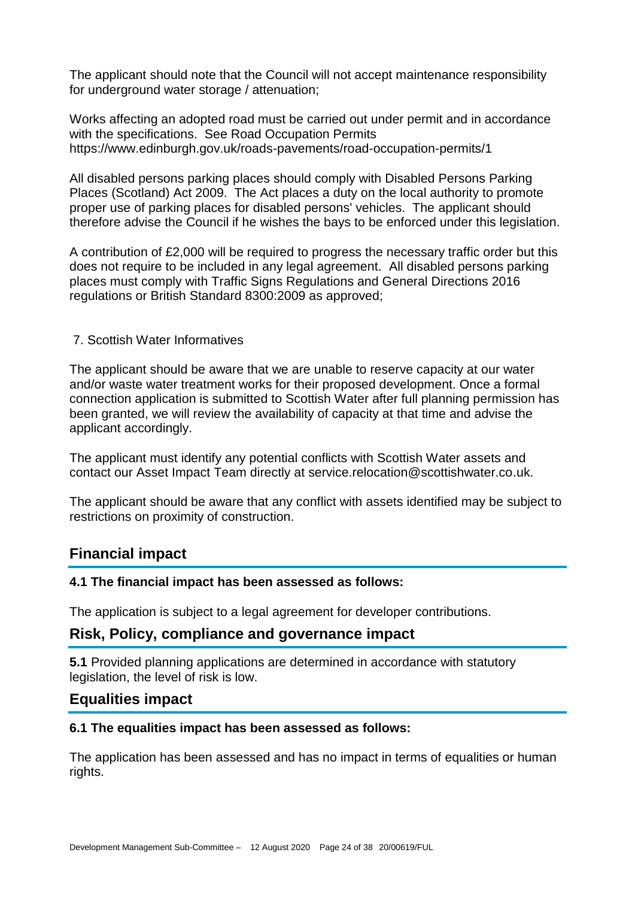The applicant should note that the Council will not accept maintenance responsibility for underground water storage / attenuation;

Works affecting an adopted road must be carried out under permit and in accordance with the specifications. See Road Occupation Permits https://www.edinburgh.gov.uk/roads-pavements/road-occupation-permits/1

All disabled persons parking places should comply with Disabled Persons Parking Places (Scotland) Act 2009. The Act places a duty on the local authority to promote proper use of parking places for disabled persons' vehicles. The applicant should therefore advise the Council if he wishes the bays to be enforced under this legislation.

A contribution of £2,000 will be required to progress the necessary traffic order but this does not require to be included in any legal agreement. All disabled persons parking places must comply with Traffic Signs Regulations and General Directions 2016 regulations or British Standard 8300:2009 as approved;

#### 7. Scottish Water Informatives

The applicant should be aware that we are unable to reserve capacity at our water and/or waste water treatment works for their proposed development. Once a formal connection application is submitted to Scottish Water after full planning permission has been granted, we will review the availability of capacity at that time and advise the applicant accordingly.

The applicant must identify any potential conflicts with Scottish Water assets and contact our Asset Impact Team directly at service.relocation@scottishwater.co.uk.

The applicant should be aware that any conflict with assets identified may be subject to restrictions on proximity of construction.

## **Financial impact**

#### **4.1 The financial impact has been assessed as follows:**

The application is subject to a legal agreement for developer contributions.

#### **Risk, Policy, compliance and governance impact**

**5.1** Provided planning applications are determined in accordance with statutory legislation, the level of risk is low.

## **Equalities impact**

#### **6.1 The equalities impact has been assessed as follows:**

The application has been assessed and has no impact in terms of equalities or human rights.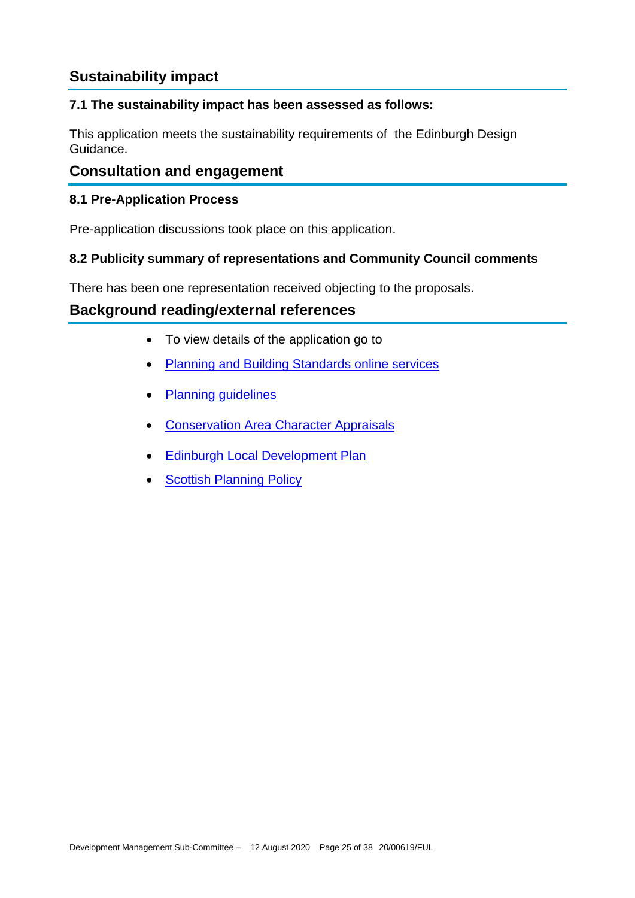# **Sustainability impact**

## **7.1 The sustainability impact has been assessed as follows:**

This application meets the sustainability requirements of the Edinburgh Design Guidance.

## **Consultation and engagement**

#### **8.1 Pre-Application Process**

Pre-application discussions took place on this application.

### **8.2 Publicity summary of representations and Community Council comments**

There has been one representation received objecting to the proposals.

## **Background reading/external references**

- To view details of the application go to
- [Planning and Building Standards online services](https://citydev-portal.edinburgh.gov.uk/idoxpa-web/search.do?action=simple&searchType=Application)
- [Planning guidelines](http://www.edinburgh.gov.uk/planningguidelines)
- [Conservation Area Character Appraisals](http://www.edinburgh.gov.uk/characterappraisals)
- [Edinburgh Local Development Plan](http://www.edinburgh.gov.uk/localdevelopmentplan)
- [Scottish Planning Policy](http://www.scotland.gov.uk/Topics/Built-Environment/planning/Policy)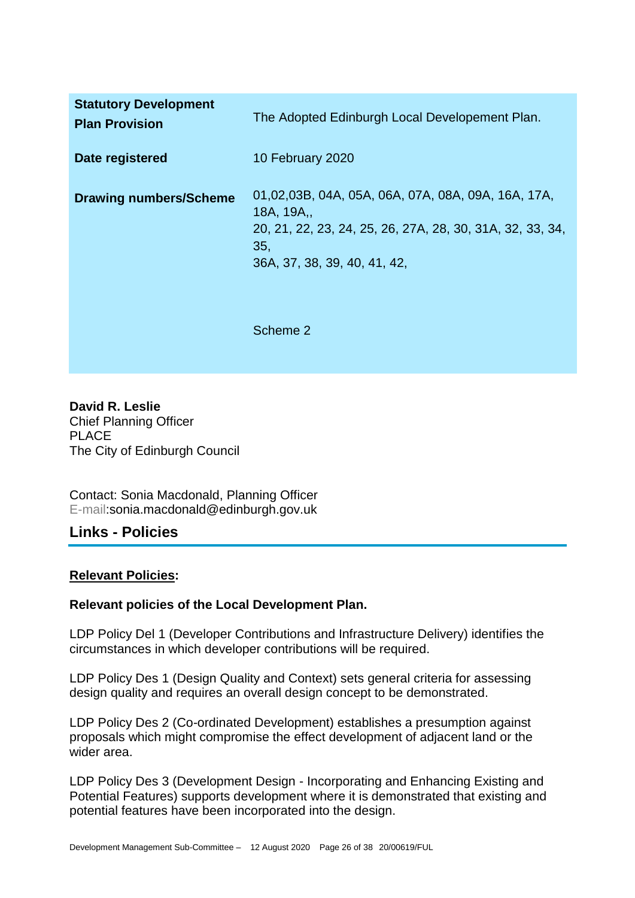| <b>Statutory Development</b><br><b>Plan Provision</b> | The Adopted Edinburgh Local Developement Plan.                                                                                                                      |
|-------------------------------------------------------|---------------------------------------------------------------------------------------------------------------------------------------------------------------------|
| Date registered                                       | 10 February 2020                                                                                                                                                    |
| <b>Drawing numbers/Scheme</b>                         | 01,02,03B, 04A, 05A, 06A, 07A, 08A, 09A, 16A, 17A,<br>18A, 19A,<br>20, 21, 22, 23, 24, 25, 26, 27A, 28, 30, 31A, 32, 33, 34,<br>35,<br>36A, 37, 38, 39, 40, 41, 42, |
|                                                       | Scheme 2                                                                                                                                                            |

**David R. Leslie** Chief Planning Officer PLACE The City of Edinburgh Council

Contact: Sonia Macdonald, Planning Officer E-mail:sonia.macdonald@edinburgh.gov.uk

## **Links - Policies**

#### **Relevant Policies:**

#### **Relevant policies of the Local Development Plan.**

LDP Policy Del 1 (Developer Contributions and Infrastructure Delivery) identifies the circumstances in which developer contributions will be required.

LDP Policy Des 1 (Design Quality and Context) sets general criteria for assessing design quality and requires an overall design concept to be demonstrated.

LDP Policy Des 2 (Co-ordinated Development) establishes a presumption against proposals which might compromise the effect development of adjacent land or the wider area.

LDP Policy Des 3 (Development Design - Incorporating and Enhancing Existing and Potential Features) supports development where it is demonstrated that existing and potential features have been incorporated into the design.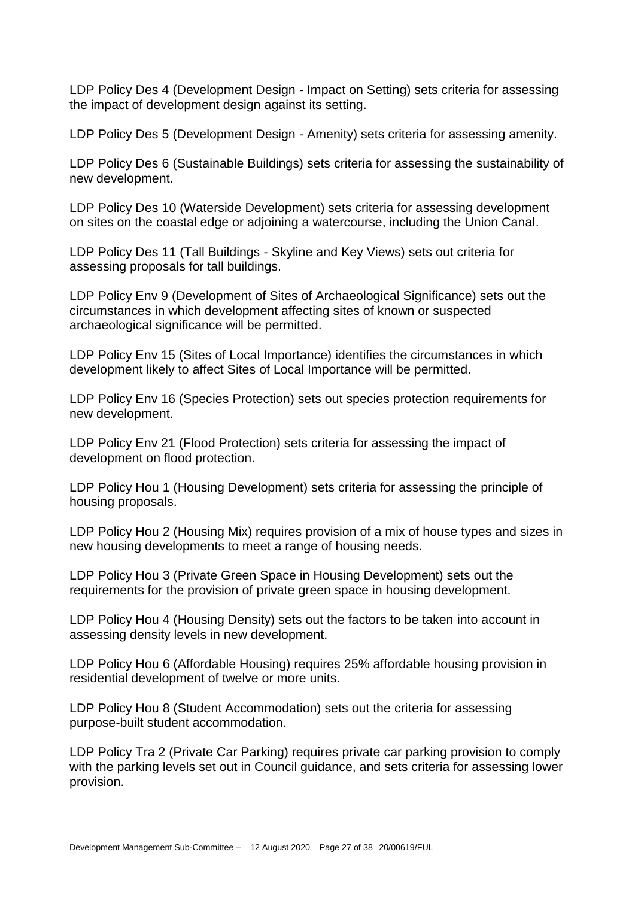LDP Policy Des 4 (Development Design - Impact on Setting) sets criteria for assessing the impact of development design against its setting.

LDP Policy Des 5 (Development Design - Amenity) sets criteria for assessing amenity.

LDP Policy Des 6 (Sustainable Buildings) sets criteria for assessing the sustainability of new development.

LDP Policy Des 10 (Waterside Development) sets criteria for assessing development on sites on the coastal edge or adjoining a watercourse, including the Union Canal.

LDP Policy Des 11 (Tall Buildings - Skyline and Key Views) sets out criteria for assessing proposals for tall buildings.

LDP Policy Env 9 (Development of Sites of Archaeological Significance) sets out the circumstances in which development affecting sites of known or suspected archaeological significance will be permitted.

LDP Policy Env 15 (Sites of Local Importance) identifies the circumstances in which development likely to affect Sites of Local Importance will be permitted.

LDP Policy Env 16 (Species Protection) sets out species protection requirements for new development.

LDP Policy Env 21 (Flood Protection) sets criteria for assessing the impact of development on flood protection.

LDP Policy Hou 1 (Housing Development) sets criteria for assessing the principle of housing proposals.

LDP Policy Hou 2 (Housing Mix) requires provision of a mix of house types and sizes in new housing developments to meet a range of housing needs.

LDP Policy Hou 3 (Private Green Space in Housing Development) sets out the requirements for the provision of private green space in housing development.

LDP Policy Hou 4 (Housing Density) sets out the factors to be taken into account in assessing density levels in new development.

LDP Policy Hou 6 (Affordable Housing) requires 25% affordable housing provision in residential development of twelve or more units.

LDP Policy Hou 8 (Student Accommodation) sets out the criteria for assessing purpose-built student accommodation.

LDP Policy Tra 2 (Private Car Parking) requires private car parking provision to comply with the parking levels set out in Council guidance, and sets criteria for assessing lower provision.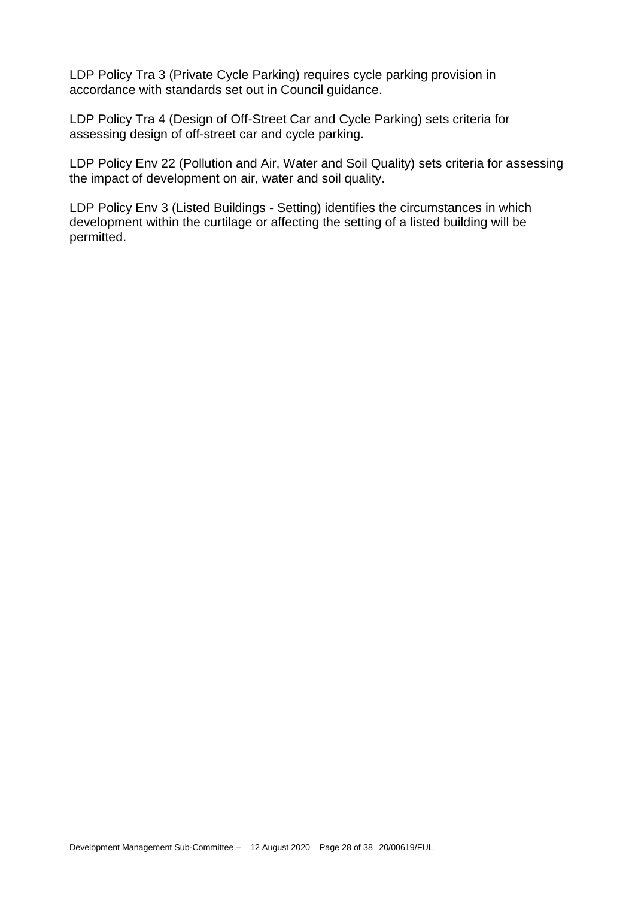LDP Policy Tra 3 (Private Cycle Parking) requires cycle parking provision in accordance with standards set out in Council guidance.

LDP Policy Tra 4 (Design of Off-Street Car and Cycle Parking) sets criteria for assessing design of off-street car and cycle parking.

LDP Policy Env 22 (Pollution and Air, Water and Soil Quality) sets criteria for assessing the impact of development on air, water and soil quality.

LDP Policy Env 3 (Listed Buildings - Setting) identifies the circumstances in which development within the curtilage or affecting the setting of a listed building will be permitted.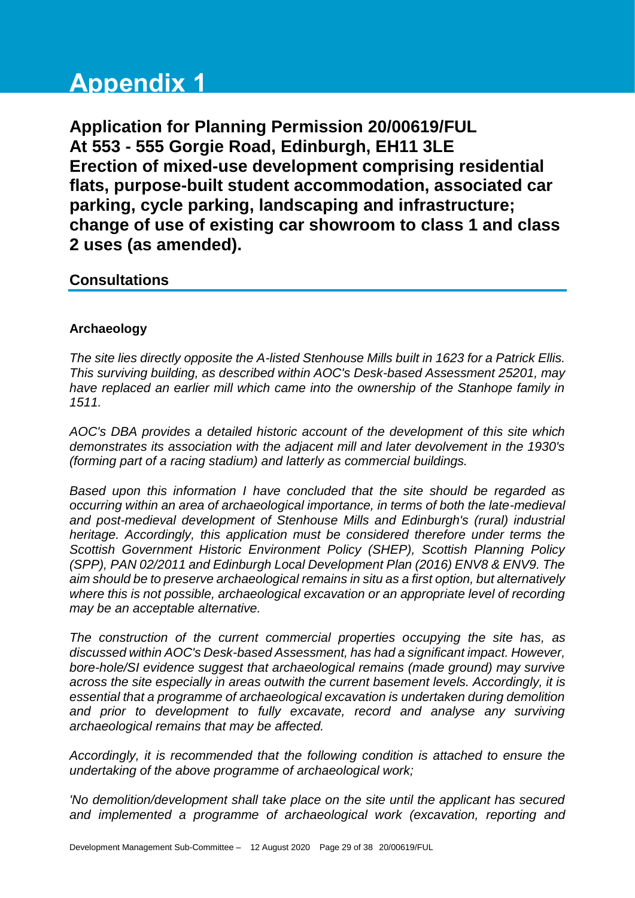# **Appendix 1**

**Application for Planning Permission 20/00619/FUL At 553 - 555 Gorgie Road, Edinburgh, EH11 3LE Erection of mixed-use development comprising residential flats, purpose-built student accommodation, associated car parking, cycle parking, landscaping and infrastructure; change of use of existing car showroom to class 1 and class 2 uses (as amended).**

## **Consultations**

### **Archaeology**

*The site lies directly opposite the A-listed Stenhouse Mills built in 1623 for a Patrick Ellis. This surviving building, as described within AOC's Desk-based Assessment 25201, may have replaced an earlier mill which came into the ownership of the Stanhope family in 1511.* 

*AOC's DBA provides a detailed historic account of the development of this site which demonstrates its association with the adjacent mill and later devolvement in the 1930's (forming part of a racing stadium) and latterly as commercial buildings.* 

*Based upon this information I have concluded that the site should be regarded as occurring within an area of archaeological importance, in terms of both the late-medieval and post-medieval development of Stenhouse Mills and Edinburgh's (rural) industrial heritage. Accordingly, this application must be considered therefore under terms the Scottish Government Historic Environment Policy (SHEP), Scottish Planning Policy (SPP), PAN 02/2011 and Edinburgh Local Development Plan (2016) ENV8 & ENV9. The aim should be to preserve archaeological remains in situ as a first option, but alternatively where this is not possible, archaeological excavation or an appropriate level of recording may be an acceptable alternative.*

*The construction of the current commercial properties occupying the site has, as discussed within AOC's Desk-based Assessment, has had a significant impact. However, bore-hole/SI evidence suggest that archaeological remains (made ground) may survive across the site especially in areas outwith the current basement levels. Accordingly, it is essential that a programme of archaeological excavation is undertaken during demolition and prior to development to fully excavate, record and analyse any surviving archaeological remains that may be affected.* 

*Accordingly, it is recommended that the following condition is attached to ensure the undertaking of the above programme of archaeological work;* 

*'No demolition/development shall take place on the site until the applicant has secured and implemented a programme of archaeological work (excavation, reporting and*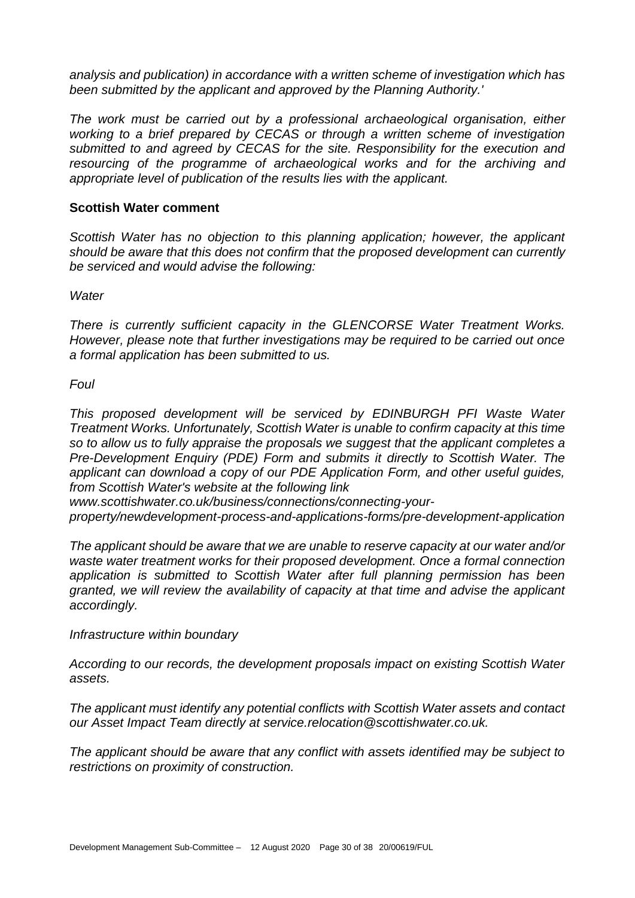*analysis and publication) in accordance with a written scheme of investigation which has been submitted by the applicant and approved by the Planning Authority.'* 

*The work must be carried out by a professional archaeological organisation, either working to a brief prepared by CECAS or through a written scheme of investigation submitted to and agreed by CECAS for the site. Responsibility for the execution and resourcing of the programme of archaeological works and for the archiving and appropriate level of publication of the results lies with the applicant.*

#### **Scottish Water comment**

*Scottish Water has no objection to this planning application; however, the applicant should be aware that this does not confirm that the proposed development can currently be serviced and would advise the following:*

*Water*

*There is currently sufficient capacity in the GLENCORSE Water Treatment Works. However, please note that further investigations may be required to be carried out once a formal application has been submitted to us.*

#### *Foul*

*This proposed development will be serviced by EDINBURGH PFI Waste Water Treatment Works. Unfortunately, Scottish Water is unable to confirm capacity at this time so to allow us to fully appraise the proposals we suggest that the applicant completes a Pre-Development Enquiry (PDE) Form and submits it directly to Scottish Water. The applicant can download a copy of our PDE Application Form, and other useful guides, from Scottish Water's website at the following link*

*www.scottishwater.co.uk/business/connections/connecting-your-*

*property/newdevelopment-process-and-applications-forms/pre-development-application*

*The applicant should be aware that we are unable to reserve capacity at our water and/or waste water treatment works for their proposed development. Once a formal connection application is submitted to Scottish Water after full planning permission has been granted, we will review the availability of capacity at that time and advise the applicant accordingly.*

#### *Infrastructure within boundary*

*According to our records, the development proposals impact on existing Scottish Water assets.*

*The applicant must identify any potential conflicts with Scottish Water assets and contact our Asset Impact Team directly at service.relocation@scottishwater.co.uk.*

*The applicant should be aware that any conflict with assets identified may be subject to restrictions on proximity of construction.*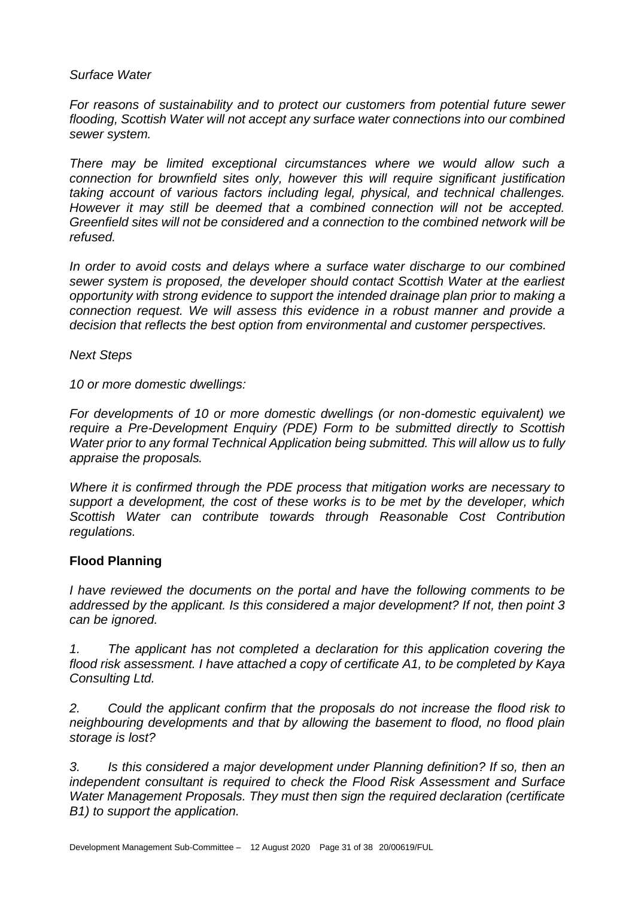#### *Surface Water*

*For reasons of sustainability and to protect our customers from potential future sewer flooding, Scottish Water will not accept any surface water connections into our combined sewer system.*

*There may be limited exceptional circumstances where we would allow such a connection for brownfield sites only, however this will require significant justification taking account of various factors including legal, physical, and technical challenges. However it may still be deemed that a combined connection will not be accepted. Greenfield sites will not be considered and a connection to the combined network will be refused.*

*In order to avoid costs and delays where a surface water discharge to our combined sewer system is proposed, the developer should contact Scottish Water at the earliest opportunity with strong evidence to support the intended drainage plan prior to making a connection request. We will assess this evidence in a robust manner and provide a decision that reflects the best option from environmental and customer perspectives.*

#### *Next Steps*

*10 or more domestic dwellings:*

*For developments of 10 or more domestic dwellings (or non-domestic equivalent) we require a Pre-Development Enquiry (PDE) Form to be submitted directly to Scottish Water prior to any formal Technical Application being submitted. This will allow us to fully appraise the proposals.*

*Where it is confirmed through the PDE process that mitigation works are necessary to support a development, the cost of these works is to be met by the developer, which Scottish Water can contribute towards through Reasonable Cost Contribution regulations.*

#### **Flood Planning**

*I have reviewed the documents on the portal and have the following comments to be addressed by the applicant. Is this considered a major development? If not, then point 3 can be ignored.* 

*1. The applicant has not completed a declaration for this application covering the flood risk assessment. I have attached a copy of certificate A1, to be completed by Kaya Consulting Ltd.* 

*2. Could the applicant confirm that the proposals do not increase the flood risk to neighbouring developments and that by allowing the basement to flood, no flood plain storage is lost?* 

*3. Is this considered a major development under Planning definition? If so, then an independent consultant is required to check the Flood Risk Assessment and Surface Water Management Proposals. They must then sign the required declaration (certificate B1) to support the application.*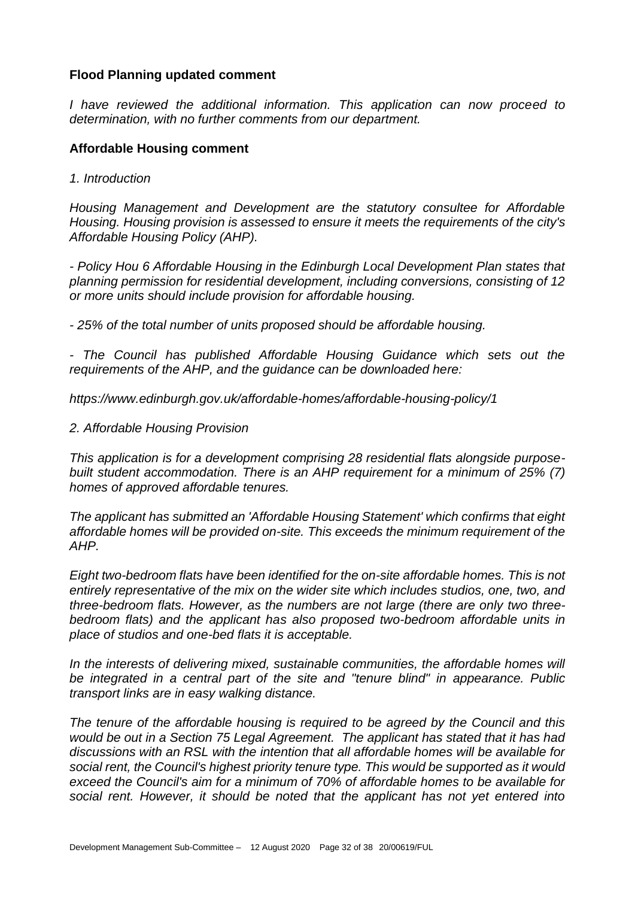#### **Flood Planning updated comment**

*I have reviewed the additional information. This application can now proceed to determination, with no further comments from our department.* 

#### **Affordable Housing comment**

*1. Introduction*

*Housing Management and Development are the statutory consultee for Affordable Housing. Housing provision is assessed to ensure it meets the requirements of the city's Affordable Housing Policy (AHP).*

*- Policy Hou 6 Affordable Housing in the Edinburgh Local Development Plan states that planning permission for residential development, including conversions, consisting of 12 or more units should include provision for affordable housing.* 

*- 25% of the total number of units proposed should be affordable housing.* 

*- The Council has published Affordable Housing Guidance which sets out the requirements of the AHP, and the guidance can be downloaded here:*

*https://www.edinburgh.gov.uk/affordable-homes/affordable-housing-policy/1*

*2. Affordable Housing Provision*

*This application is for a development comprising 28 residential flats alongside purposebuilt student accommodation. There is an AHP requirement for a minimum of 25% (7) homes of approved affordable tenures.*

*The applicant has submitted an 'Affordable Housing Statement' which confirms that eight affordable homes will be provided on-site. This exceeds the minimum requirement of the AHP.*

*Eight two-bedroom flats have been identified for the on-site affordable homes. This is not entirely representative of the mix on the wider site which includes studios, one, two, and three-bedroom flats. However, as the numbers are not large (there are only two threebedroom flats) and the applicant has also proposed two-bedroom affordable units in place of studios and one-bed flats it is acceptable.*

In the interests of delivering mixed, sustainable communities, the affordable homes will *be integrated in a central part of the site and "tenure blind" in appearance. Public transport links are in easy walking distance.* 

*The tenure of the affordable housing is required to be agreed by the Council and this would be out in a Section 75 Legal Agreement. The applicant has stated that it has had discussions with an RSL with the intention that all affordable homes will be available for social rent, the Council's highest priority tenure type. This would be supported as it would exceed the Council's aim for a minimum of 70% of affordable homes to be available for social rent. However, it should be noted that the applicant has not yet entered into*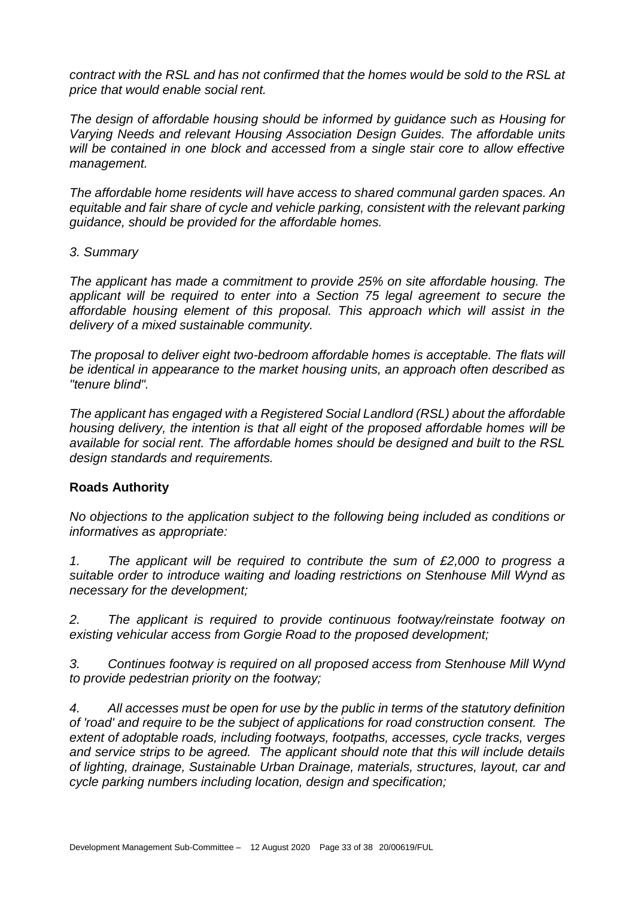*contract with the RSL and has not confirmed that the homes would be sold to the RSL at price that would enable social rent.*

*The design of affordable housing should be informed by guidance such as Housing for Varying Needs and relevant Housing Association Design Guides. The affordable units will be contained in one block and accessed from a single stair core to allow effective management.* 

*The affordable home residents will have access to shared communal garden spaces. An equitable and fair share of cycle and vehicle parking, consistent with the relevant parking guidance, should be provided for the affordable homes.*

#### *3. Summary*

*The applicant has made a commitment to provide 25% on site affordable housing. The applicant will be required to enter into a Section 75 legal agreement to secure the affordable housing element of this proposal. This approach which will assist in the delivery of a mixed sustainable community.*

*The proposal to deliver eight two-bedroom affordable homes is acceptable. The flats will be identical in appearance to the market housing units, an approach often described as "tenure blind".*

*The applicant has engaged with a Registered Social Landlord (RSL) about the affordable housing delivery, the intention is that all eight of the proposed affordable homes will be available for social rent. The affordable homes should be designed and built to the RSL design standards and requirements.* 

#### **Roads Authority**

*No objections to the application subject to the following being included as conditions or informatives as appropriate:*

*1. The applicant will be required to contribute the sum of £2,000 to progress a suitable order to introduce waiting and loading restrictions on Stenhouse Mill Wynd as necessary for the development;*

*2. The applicant is required to provide continuous footway/reinstate footway on existing vehicular access from Gorgie Road to the proposed development;*

*3. Continues footway is required on all proposed access from Stenhouse Mill Wynd to provide pedestrian priority on the footway;*

*4. All accesses must be open for use by the public in terms of the statutory definition of 'road' and require to be the subject of applications for road construction consent. The extent of adoptable roads, including footways, footpaths, accesses, cycle tracks, verges and service strips to be agreed. The applicant should note that this will include details of lighting, drainage, Sustainable Urban Drainage, materials, structures, layout, car and cycle parking numbers including location, design and specification;*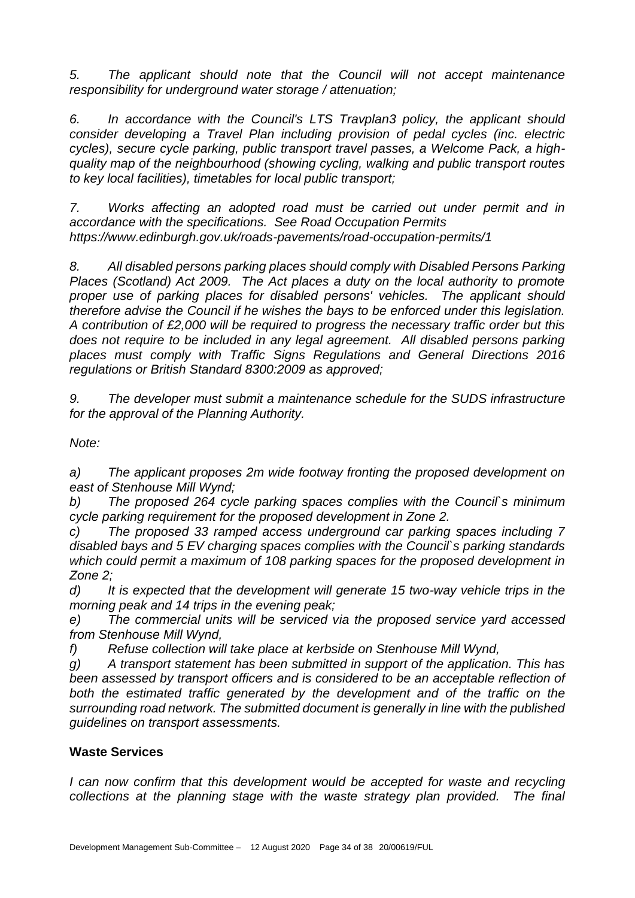*5. The applicant should note that the Council will not accept maintenance responsibility for underground water storage / attenuation;*

*6. In accordance with the Council's LTS Travplan3 policy, the applicant should consider developing a Travel Plan including provision of pedal cycles (inc. electric cycles), secure cycle parking, public transport travel passes, a Welcome Pack, a highquality map of the neighbourhood (showing cycling, walking and public transport routes to key local facilities), timetables for local public transport;*

*7. Works affecting an adopted road must be carried out under permit and in accordance with the specifications. See Road Occupation Permits https://www.edinburgh.gov.uk/roads-pavements/road-occupation-permits/1*

*8. All disabled persons parking places should comply with Disabled Persons Parking Places (Scotland) Act 2009. The Act places a duty on the local authority to promote proper use of parking places for disabled persons' vehicles. The applicant should therefore advise the Council if he wishes the bays to be enforced under this legislation. A contribution of £2,000 will be required to progress the necessary traffic order but this does not require to be included in any legal agreement. All disabled persons parking places must comply with Traffic Signs Regulations and General Directions 2016 regulations or British Standard 8300:2009 as approved;*

*9. The developer must submit a maintenance schedule for the SUDS infrastructure for the approval of the Planning Authority.*

*Note:*

*a) The applicant proposes 2m wide footway fronting the proposed development on east of Stenhouse Mill Wynd;*

*b) The proposed 264 cycle parking spaces complies with the Council`s minimum cycle parking requirement for the proposed development in Zone 2.*

*c) The proposed 33 ramped access underground car parking spaces including 7 disabled bays and 5 EV charging spaces complies with the Council`s parking standards which could permit a maximum of 108 parking spaces for the proposed development in Zone 2;*

*d) It is expected that the development will generate 15 two-way vehicle trips in the morning peak and 14 trips in the evening peak;*

*e) The commercial units will be serviced via the proposed service yard accessed from Stenhouse Mill Wynd,*

*f) Refuse collection will take place at kerbside on Stenhouse Mill Wynd,*

*g) A transport statement has been submitted in support of the application. This has been assessed by transport officers and is considered to be an acceptable reflection of both the estimated traffic generated by the development and of the traffic on the surrounding road network. The submitted document is generally in line with the published guidelines on transport assessments.*

## **Waste Services**

*I* can now confirm that this development would be accepted for waste and recycling *collections at the planning stage with the waste strategy plan provided. The final*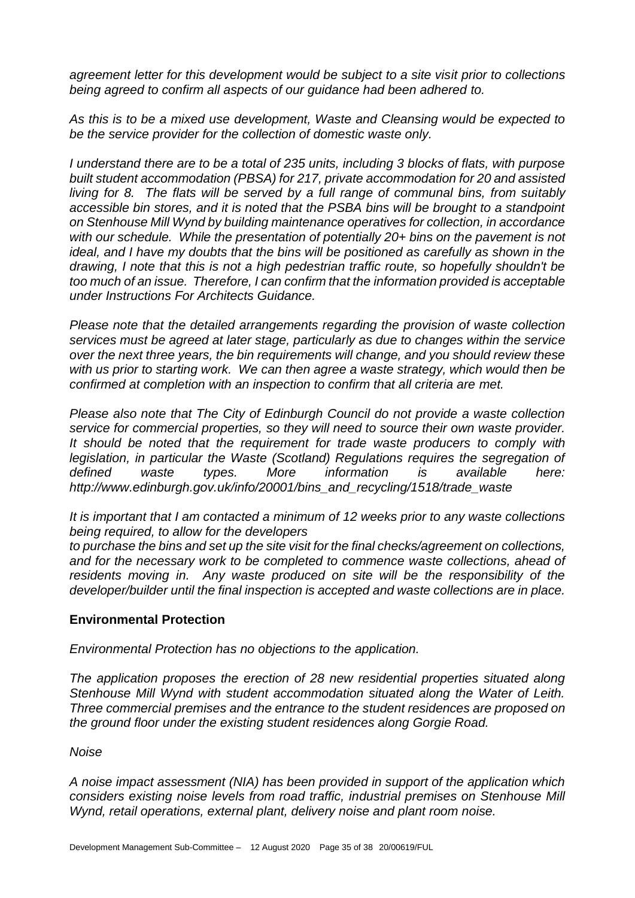*agreement letter for this development would be subject to a site visit prior to collections being agreed to confirm all aspects of our guidance had been adhered to.*

*As this is to be a mixed use development, Waste and Cleansing would be expected to be the service provider for the collection of domestic waste only.* 

*I understand there are to be a total of 235 units, including 3 blocks of flats, with purpose built student accommodation (PBSA) for 217, private accommodation for 20 and assisted living for 8. The flats will be served by a full range of communal bins, from suitably accessible bin stores, and it is noted that the PSBA bins will be brought to a standpoint on Stenhouse Mill Wynd by building maintenance operatives for collection, in accordance with our schedule. While the presentation of potentially 20+ bins on the pavement is not ideal, and I have my doubts that the bins will be positioned as carefully as shown in the drawing, I note that this is not a high pedestrian traffic route, so hopefully shouldn't be too much of an issue. Therefore, I can confirm that the information provided is acceptable under Instructions For Architects Guidance.*

*Please note that the detailed arrangements regarding the provision of waste collection services must be agreed at later stage, particularly as due to changes within the service over the next three years, the bin requirements will change, and you should review these with us prior to starting work. We can then agree a waste strategy, which would then be confirmed at completion with an inspection to confirm that all criteria are met.*

*Please also note that The City of Edinburgh Council do not provide a waste collection service for commercial properties, so they will need to source their own waste provider. It should be noted that the requirement for trade waste producers to comply with legislation, in particular the Waste (Scotland) Regulations requires the segregation of defined waste types. More information is available here: http://www.edinburgh.gov.uk/info/20001/bins\_and\_recycling/1518/trade\_waste*

*It is important that I am contacted a minimum of 12 weeks prior to any waste collections being required, to allow for the developers*

*to purchase the bins and set up the site visit for the final checks/agreement on collections, and for the necessary work to be completed to commence waste collections, ahead of residents moving in. Any waste produced on site will be the responsibility of the developer/builder until the final inspection is accepted and waste collections are in place.*

#### **Environmental Protection**

*Environmental Protection has no objections to the application.*

*The application proposes the erection of 28 new residential properties situated along Stenhouse Mill Wynd with student accommodation situated along the Water of Leith. Three commercial premises and the entrance to the student residences are proposed on the ground floor under the existing student residences along Gorgie Road.*

#### *Noise*

*A noise impact assessment (NIA) has been provided in support of the application which considers existing noise levels from road traffic, industrial premises on Stenhouse Mill Wynd, retail operations, external plant, delivery noise and plant room noise.*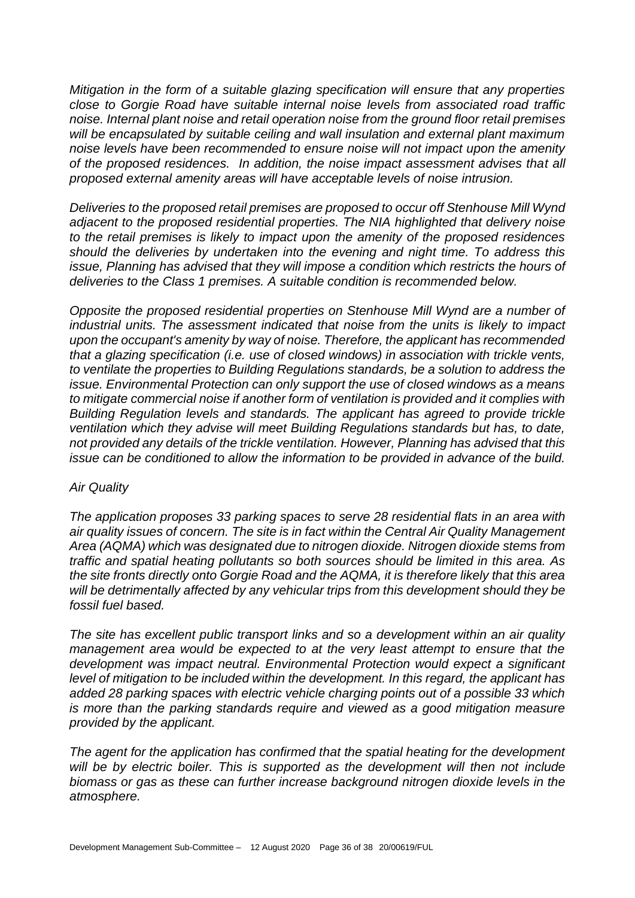*Mitigation in the form of a suitable glazing specification will ensure that any properties close to Gorgie Road have suitable internal noise levels from associated road traffic noise. Internal plant noise and retail operation noise from the ground floor retail premises will be encapsulated by suitable ceiling and wall insulation and external plant maximum noise levels have been recommended to ensure noise will not impact upon the amenity of the proposed residences. In addition, the noise impact assessment advises that all proposed external amenity areas will have acceptable levels of noise intrusion.*

*Deliveries to the proposed retail premises are proposed to occur off Stenhouse Mill Wynd adjacent to the proposed residential properties. The NIA highlighted that delivery noise to the retail premises is likely to impact upon the amenity of the proposed residences should the deliveries by undertaken into the evening and night time. To address this issue, Planning has advised that they will impose a condition which restricts the hours of deliveries to the Class 1 premises. A suitable condition is recommended below.*

*Opposite the proposed residential properties on Stenhouse Mill Wynd are a number of industrial units. The assessment indicated that noise from the units is likely to impact upon the occupant's amenity by way of noise. Therefore, the applicant has recommended that a glazing specification (i.e. use of closed windows) in association with trickle vents, to ventilate the properties to Building Regulations standards, be a solution to address the issue. Environmental Protection can only support the use of closed windows as a means to mitigate commercial noise if another form of ventilation is provided and it complies with Building Regulation levels and standards. The applicant has agreed to provide trickle ventilation which they advise will meet Building Regulations standards but has, to date, not provided any details of the trickle ventilation. However, Planning has advised that this issue can be conditioned to allow the information to be provided in advance of the build.*

#### *Air Quality*

*The application proposes 33 parking spaces to serve 28 residential flats in an area with air quality issues of concern. The site is in fact within the Central Air Quality Management Area (AQMA) which was designated due to nitrogen dioxide. Nitrogen dioxide stems from traffic and spatial heating pollutants so both sources should be limited in this area. As the site fronts directly onto Gorgie Road and the AQMA, it is therefore likely that this area will be detrimentally affected by any vehicular trips from this development should they be fossil fuel based.* 

*The site has excellent public transport links and so a development within an air quality*  management area would be expected to at the very least attempt to ensure that the *development was impact neutral. Environmental Protection would expect a significant level of mitigation to be included within the development. In this regard, the applicant has added 28 parking spaces with electric vehicle charging points out of a possible 33 which is more than the parking standards require and viewed as a good mitigation measure provided by the applicant.*

*The agent for the application has confirmed that the spatial heating for the development will be by electric boiler. This is supported as the development will then not include biomass or gas as these can further increase background nitrogen dioxide levels in the atmosphere.*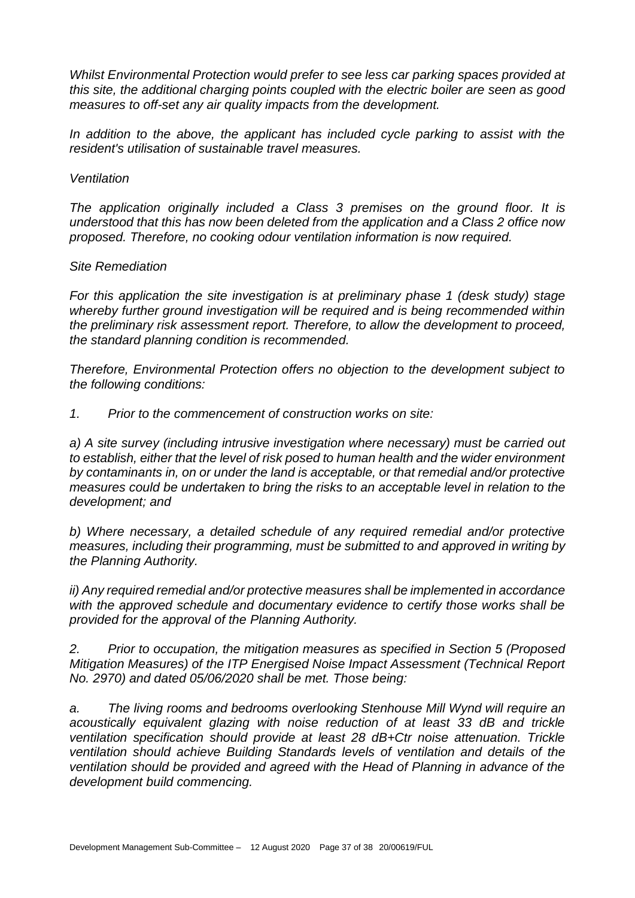*Whilst Environmental Protection would prefer to see less car parking spaces provided at this site, the additional charging points coupled with the electric boiler are seen as good measures to off-set any air quality impacts from the development.*

*In addition to the above, the applicant has included cycle parking to assist with the resident's utilisation of sustainable travel measures.*

#### *Ventilation*

*The application originally included a Class 3 premises on the ground floor. It is understood that this has now been deleted from the application and a Class 2 office now proposed. Therefore, no cooking odour ventilation information is now required.*

#### *Site Remediation*

*For this application the site investigation is at preliminary phase 1 (desk study) stage whereby further ground investigation will be required and is being recommended within the preliminary risk assessment report. Therefore, to allow the development to proceed, the standard planning condition is recommended.*

*Therefore, Environmental Protection offers no objection to the development subject to the following conditions:*

*1. Prior to the commencement of construction works on site:*

*a) A site survey (including intrusive investigation where necessary) must be carried out to establish, either that the level of risk posed to human health and the wider environment by contaminants in, on or under the land is acceptable, or that remedial and/or protective measures could be undertaken to bring the risks to an acceptable level in relation to the development; and*

*b) Where necessary, a detailed schedule of any required remedial and/or protective measures, including their programming, must be submitted to and approved in writing by the Planning Authority.*

*ii) Any required remedial and/or protective measures shall be implemented in accordance with the approved schedule and documentary evidence to certify those works shall be provided for the approval of the Planning Authority.*

*2. Prior to occupation, the mitigation measures as specified in Section 5 (Proposed Mitigation Measures) of the ITP Energised Noise Impact Assessment (Technical Report No. 2970) and dated 05/06/2020 shall be met. Those being:*

*a. The living rooms and bedrooms overlooking Stenhouse Mill Wynd will require an acoustically equivalent glazing with noise reduction of at least 33 dB and trickle ventilation specification should provide at least 28 dB+Ctr noise attenuation. Trickle ventilation should achieve Building Standards levels of ventilation and details of the ventilation should be provided and agreed with the Head of Planning in advance of the development build commencing.*